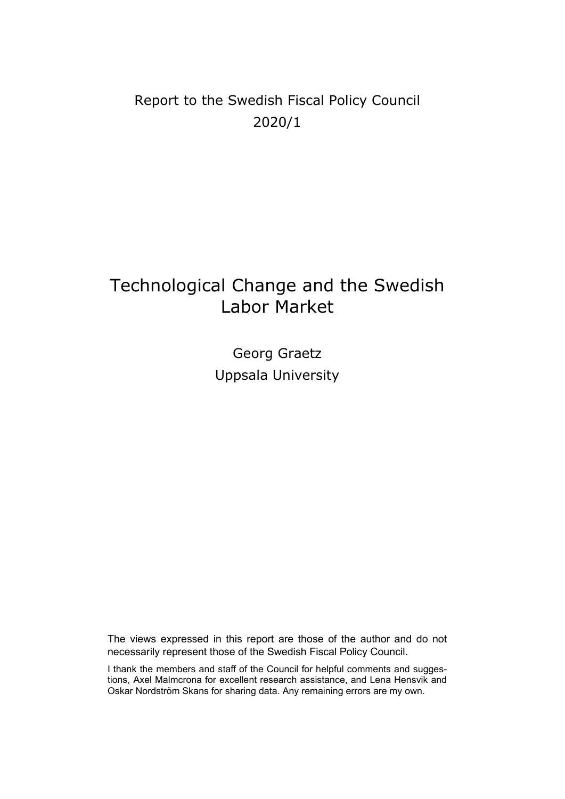## Report to the Swedish Fiscal Policy Council 2020/1

# Technological Change and the Swedish Labor Market

Georg Graetz Uppsala University

The views expressed in this report are those of the author and do not necessarily represent those of the Swedish Fiscal Policy Council.

I thank the members and staff of the Council for helpful comments and suggestions, Axel Malmcrona for excellent research assistance, and Lena Hensvik and Oskar Nordström Skans for sharing data. Any remaining errors are my own.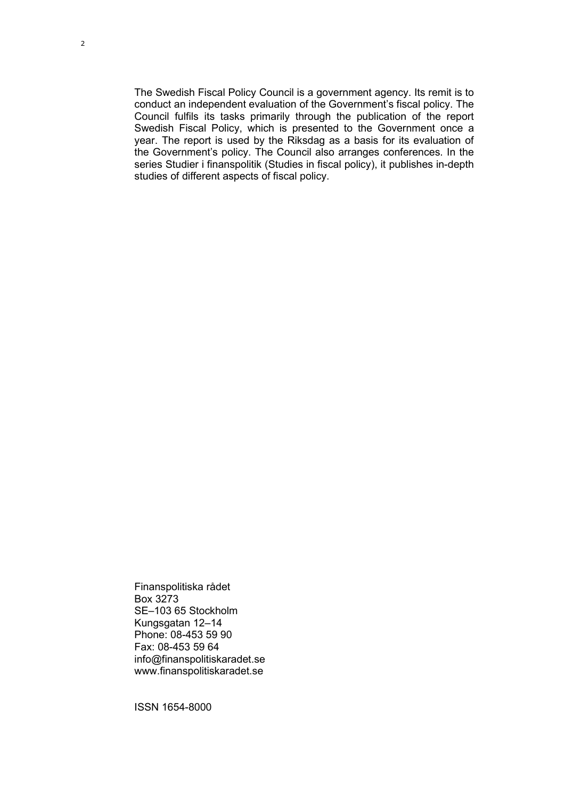The Swedish Fiscal Policy Council is a government agency. Its remit is to conduct an independent evaluation of the Government's fiscal policy. The Council fulfils its tasks primarily through the publication of the report Swedish Fiscal Policy, which is presented to the Government once a year. The report is used by the Riksdag as a basis for its evaluation of the Government's policy. The Council also arranges conferences. In the series Studier i finanspolitik (Studies in fiscal policy), it publishes in-depth studies of different aspects of fiscal policy.

Finanspolitiska rådet Box 3273 SE–103 65 Stockholm Kungsgatan 12–14 Phone: 08-453 59 90 Fax: 08-453 59 64 info@finanspolitiskaradet.se www.finanspolitiskaradet.se

ISSN 1654-8000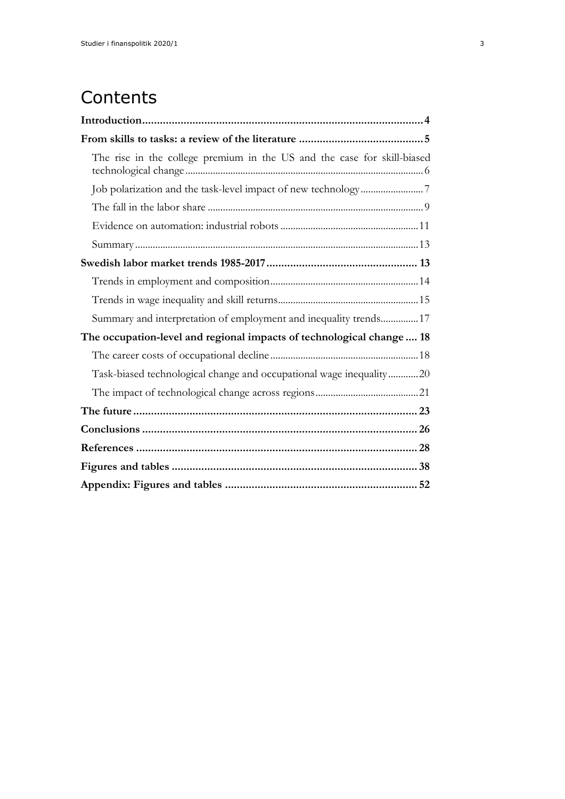# **Contents**

| The rise in the college premium in the US and the case for skill-biased |
|-------------------------------------------------------------------------|
|                                                                         |
|                                                                         |
|                                                                         |
|                                                                         |
|                                                                         |
|                                                                         |
|                                                                         |
| Summary and interpretation of employment and inequality trends 17       |
| The occupation-level and regional impacts of technological change 18    |
|                                                                         |
| Task-biased technological change and occupational wage inequality20     |
|                                                                         |
|                                                                         |
|                                                                         |
|                                                                         |
|                                                                         |
|                                                                         |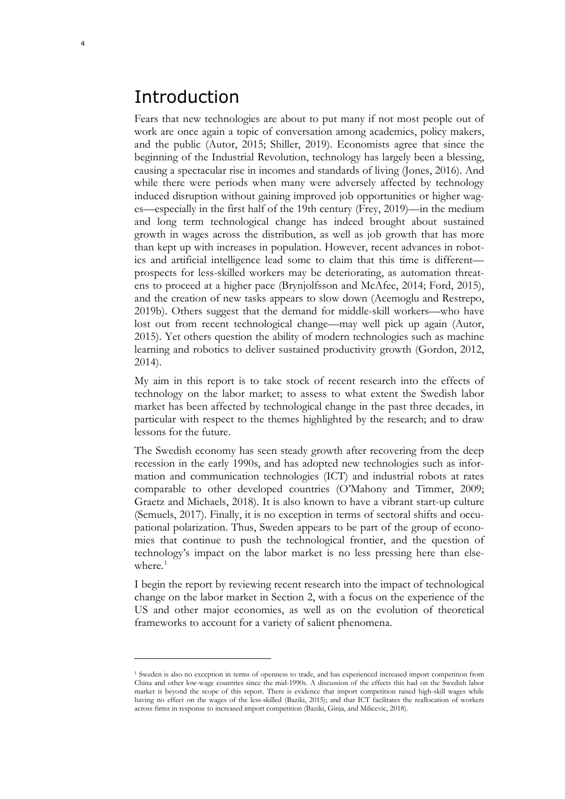## <span id="page-3-0"></span>Introduction

Fears that new technologies are about to put many if not most people out of work are once again a topic of conversation among academics, policy makers, and the public (Autor, 2015; Shiller, 2019). Economists agree that since the beginning of the Industrial Revolution, technology has largely been a blessing, causing a spectacular rise in incomes and standards of living (Jones, 2016). And while there were periods when many were adversely affected by technology induced disruption without gaining improved job opportunities or higher wages—especially in the first half of the 19th century (Frey, 2019)—in the medium and long term technological change has indeed brought about sustained growth in wages across the distribution, as well as job growth that has more than kept up with increases in population. However, recent advances in robotics and artificial intelligence lead some to claim that this time is different prospects for less-skilled workers may be deteriorating, as automation threatens to proceed at a higher pace (Brynjolfsson and McAfee, 2014; Ford, 2015), and the creation of new tasks appears to slow down (Acemoglu and Restrepo, 2019b). Others suggest that the demand for middle-skill workers—who have lost out from recent technological change—may well pick up again (Autor, 2015). Yet others question the ability of modern technologies such as machine learning and robotics to deliver sustained productivity growth (Gordon, 2012, 2014).

My aim in this report is to take stock of recent research into the effects of technology on the labor market; to assess to what extent the Swedish labor market has been affected by technological change in the past three decades, in particular with respect to the themes highlighted by the research; and to draw lessons for the future.

The Swedish economy has seen steady growth after recovering from the deep recession in the early 1990s, and has adopted new technologies such as information and communication technologies (ICT) and industrial robots at rates comparable to other developed countries (O'Mahony and Timmer, 2009; Graetz and Michaels, 2018). It is also known to have a vibrant start-up culture (Semuels, 2017). Finally, it is no exception in terms of sectoral shifts and occupational polarization. Thus, Sweden appears to be part of the group of economies that continue to push the technological frontier, and the question of technology's impact on the labor market is no less pressing here than elsewhere. $1$ 

I begin the report by reviewing recent research into the impact of technological change on the labor market in Section 2, with a focus on the experience of the US and other major economies, as well as on the evolution of theoretical frameworks to account for a variety of salient phenomena.

<span id="page-3-1"></span><sup>1</sup> Sweden is also no exception in terms of openness to trade, and has experienced increased import competition from China and other low-wage countries since the mid-1990s. A discussion of the effects this had on the Swedish labor market is beyond the scope of this report. There is evidence that import competition raised high-skill wages while having no effect on the wages of the less-skilled (Baziki, 2015); and that ICT facilitates the reallocation of workers across firms in response to increased import competition (Baziki, Ginja, and Milicevic, 2018).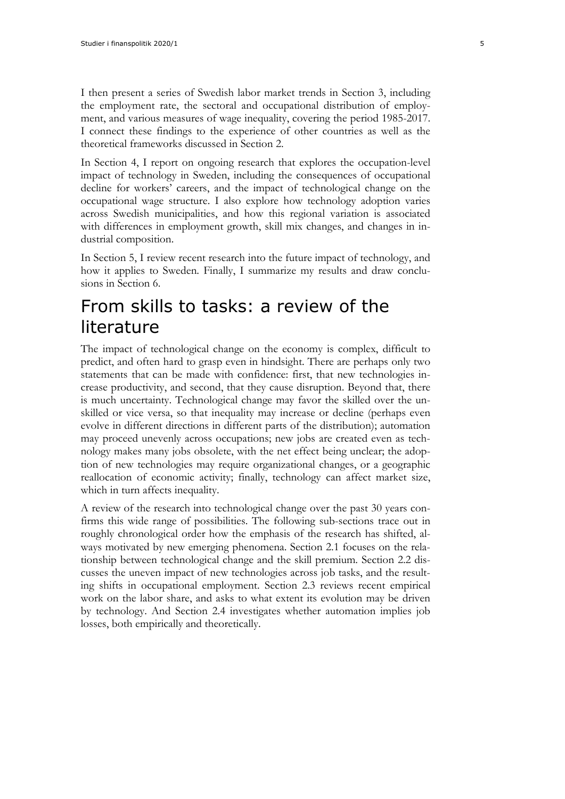I then present a series of Swedish labor market trends in Section 3, including the employment rate, the sectoral and occupational distribution of employment, and various measures of wage inequality, covering the period 1985-2017. I connect these findings to the experience of other countries as well as the theoretical frameworks discussed in Section 2.

In Section 4, I report on ongoing research that explores the occupation-level impact of technology in Sweden, including the consequences of occupational decline for workers' careers, and the impact of technological change on the occupational wage structure. I also explore how technology adoption varies across Swedish municipalities, and how this regional variation is associated with differences in employment growth, skill mix changes, and changes in industrial composition.

In Section 5, I review recent research into the future impact of technology, and how it applies to Sweden. Finally, I summarize my results and draw conclusions in Section 6.

# <span id="page-4-0"></span>From skills to tasks: a review of the literature

The impact of technological change on the economy is complex, difficult to predict, and often hard to grasp even in hindsight. There are perhaps only two statements that can be made with confidence: first, that new technologies increase productivity, and second, that they cause disruption. Beyond that, there is much uncertainty. Technological change may favor the skilled over the unskilled or vice versa, so that inequality may increase or decline (perhaps even evolve in different directions in different parts of the distribution); automation may proceed unevenly across occupations; new jobs are created even as technology makes many jobs obsolete, with the net effect being unclear; the adoption of new technologies may require organizational changes, or a geographic reallocation of economic activity; finally, technology can affect market size, which in turn affects inequality.

A review of the research into technological change over the past 30 years confirms this wide range of possibilities. The following sub-sections trace out in roughly chronological order how the emphasis of the research has shifted, always motivated by new emerging phenomena. Section 2.1 focuses on the relationship between technological change and the skill premium. Section 2.2 discusses the uneven impact of new technologies across job tasks, and the resulting shifts in occupational employment. Section 2.3 reviews recent empirical work on the labor share, and asks to what extent its evolution may be driven by technology. And Section 2.4 investigates whether automation implies job losses, both empirically and theoretically.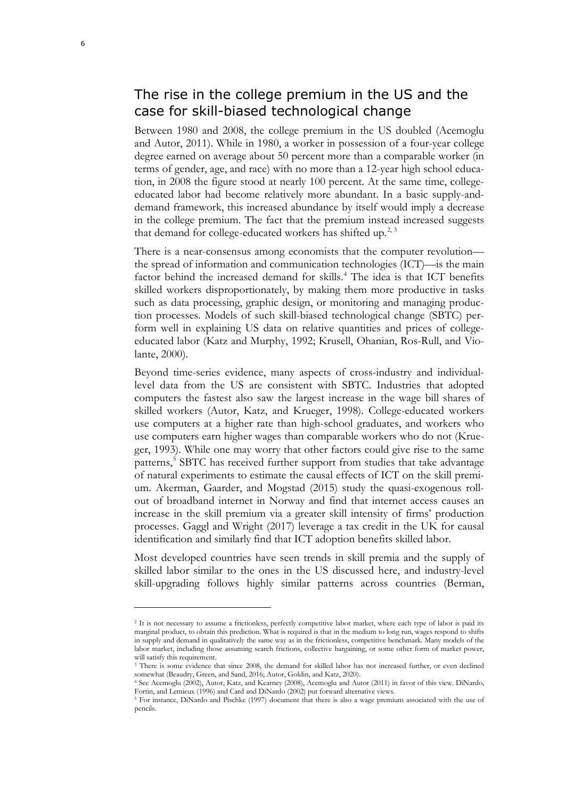### <span id="page-5-0"></span>The rise in the college premium in the US and the case for skill-biased technological change

Between 1980 and 2008, the college premium in the US doubled (Acemoglu and Autor, 2011). While in 1980, a worker in possession of a four-year college degree earned on average about 50 percent more than a comparable worker (in terms of gender, age, and race) with no more than a 12-year high school education, in 2008 the figure stood at nearly 100 percent. At the same time, collegeeducated labor had become relatively more abundant. In a basic supply-anddemand framework, this increased abundance by itself would imply a decrease in the college premium. The fact that the premium instead increased suggests that demand for college-educated workers has shifted up.<sup>[2,](#page-5-1) [3](#page-5-2)</sup>

There is a near-consensus among economists that the computer revolution the spread of information and communication technologies (ICT)—is the main factor behind the increased demand for skills.<sup>[4](#page-5-3)</sup> The idea is that ICT benefits skilled workers disproportionately, by making them more productive in tasks such as data processing, graphic design, or monitoring and managing production processes. Models of such skill-biased technological change (SBTC) perform well in explaining US data on relative quantities and prices of collegeeducated labor (Katz and Murphy, 1992; Krusell, Ohanian, Ros-Rull, and Violante, 2000).

Beyond time-series evidence, many aspects of cross-industry and individuallevel data from the US are consistent with SBTC. Industries that adopted computers the fastest also saw the largest increase in the wage bill shares of skilled workers (Autor, Katz, and Krueger, 1998). College-educated workers use computers at a higher rate than high-school graduates, and workers who use computers earn higher wages than comparable workers who do not (Krueger, 1993). While one may worry that other factors could give rise to the same patterns,<sup>[5](#page-5-4)</sup> SBTC has received further support from studies that take advantage of natural experiments to estimate the causal effects of ICT on the skill premium. Akerman, Gaarder, and Mogstad (2015) study the quasi-exogenous rollout of broadband internet in Norway and find that internet access causes an increase in the skill premium via a greater skill intensity of firms' production processes. Gaggl and Wright (2017) leverage a tax credit in the UK for causal identification and similarly find that ICT adoption benefits skilled labor.

Most developed countries have seen trends in skill premia and the supply of skilled labor similar to the ones in the US discussed here, and industry-level skill-upgrading follows highly similar patterns across countries (Berman,

<span id="page-5-1"></span><sup>2</sup> It is not necessary to assume a frictionless, perfectly competitive labor market, where each type of labor is paid its marginal product, to obtain this prediction. What is required is that in the medium to long run, wages respond to shifts in supply and demand in qualitatively the same way as in the frictionless, competitive benchmark. Many models of the labor market, including those assuming search frictions, collective bargaining, or some other form of market power, will satisfy this requirement.

<span id="page-5-2"></span><sup>&</sup>lt;sup>3</sup> There is some evidence that since 2008, the demand for skilled labor has not increased further, or even declined somewhat (Beaudry, Green, and Sand, 2016; Autor, Goldin, and Katz, 2020).

<span id="page-5-3"></span><sup>4</sup> See Acemoglu (2002), Autor, Katz, and Kearney (2008), Acemoglu and Autor (2011) in favor of this view. DiNardo, Fortin, and Lemieux (1996) and Card and DiNardo (2002) put forward alternative views.

<span id="page-5-4"></span><sup>5</sup> For instance, DiNardo and Pischke (1997) document that there is also a wage premium associated with the use of pencils.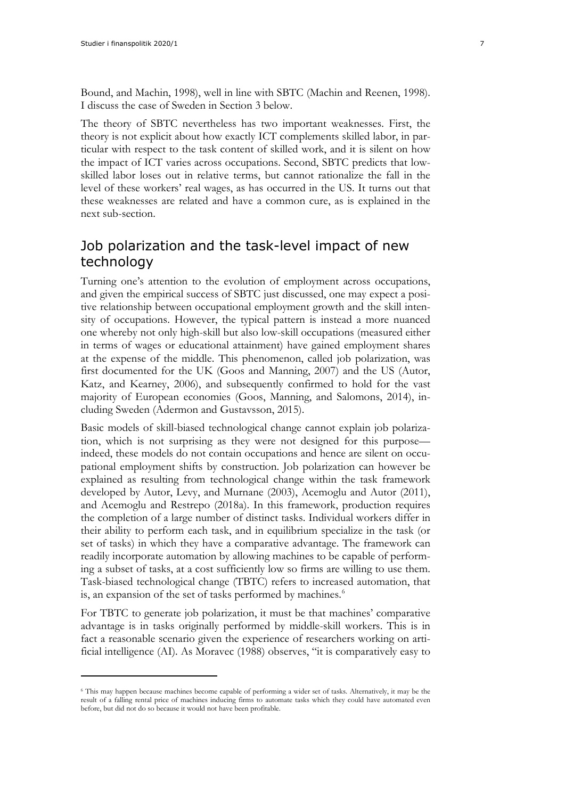Bound, and Machin, 1998), well in line with SBTC (Machin and Reenen, 1998). I discuss the case of Sweden in Section 3 below.

The theory of SBTC nevertheless has two important weaknesses. First, the theory is not explicit about how exactly ICT complements skilled labor, in particular with respect to the task content of skilled work, and it is silent on how the impact of ICT varies across occupations. Second, SBTC predicts that lowskilled labor loses out in relative terms, but cannot rationalize the fall in the level of these workers' real wages, as has occurred in the US. It turns out that these weaknesses are related and have a common cure, as is explained in the next sub-section.

### <span id="page-6-0"></span>Job polarization and the task-level impact of new technology

Turning one's attention to the evolution of employment across occupations, and given the empirical success of SBTC just discussed, one may expect a positive relationship between occupational employment growth and the skill intensity of occupations. However, the typical pattern is instead a more nuanced one whereby not only high-skill but also low-skill occupations (measured either in terms of wages or educational attainment) have gained employment shares at the expense of the middle. This phenomenon, called job polarization, was first documented for the UK (Goos and Manning, 2007) and the US (Autor, Katz, and Kearney, 2006), and subsequently confirmed to hold for the vast majority of European economies (Goos, Manning, and Salomons, 2014), including Sweden (Adermon and Gustavsson, 2015).

Basic models of skill-biased technological change cannot explain job polarization, which is not surprising as they were not designed for this purpose indeed, these models do not contain occupations and hence are silent on occupational employment shifts by construction. Job polarization can however be explained as resulting from technological change within the task framework developed by Autor, Levy, and Murnane (2003), Acemoglu and Autor (2011), and Acemoglu and Restrepo (2018a). In this framework, production requires the completion of a large number of distinct tasks. Individual workers differ in their ability to perform each task, and in equilibrium specialize in the task (or set of tasks) in which they have a comparative advantage. The framework can readily incorporate automation by allowing machines to be capable of performing a subset of tasks, at a cost sufficiently low so firms are willing to use them. Task-biased technological change (TBTC) refers to increased automation, that is, an expansion of the set of tasks performed by machines.<sup>[6](#page-6-1)</sup>

For TBTC to generate job polarization, it must be that machines' comparative advantage is in tasks originally performed by middle-skill workers. This is in fact a reasonable scenario given the experience of researchers working on artificial intelligence (AI). As Moravec (1988) observes, "it is comparatively easy to

<span id="page-6-1"></span><sup>6</sup> This may happen because machines become capable of performing a wider set of tasks. Alternatively, it may be the result of a falling rental price of machines inducing firms to automate tasks which they could have automated even before, but did not do so because it would not have been profitable.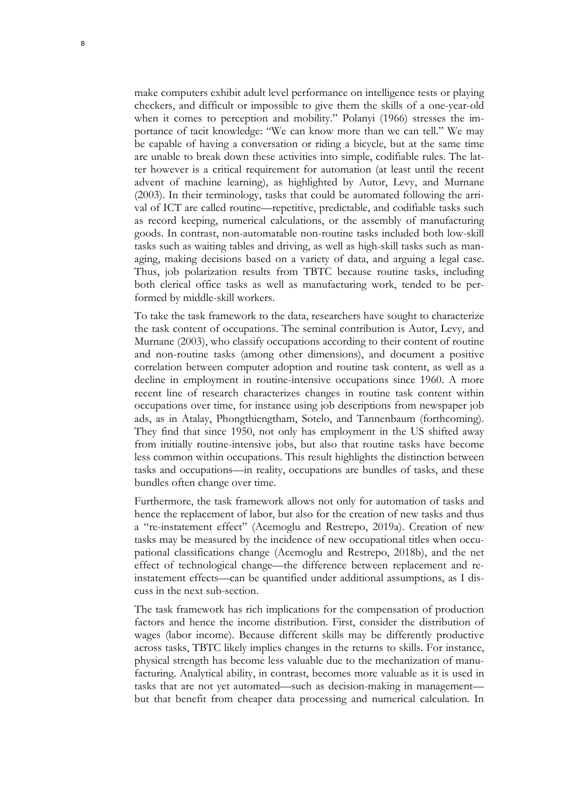make computers exhibit adult level performance on intelligence tests or playing checkers, and difficult or impossible to give them the skills of a one-year-old when it comes to perception and mobility." Polanyi (1966) stresses the importance of tacit knowledge: "We can know more than we can tell." We may be capable of having a conversation or riding a bicycle, but at the same time are unable to break down these activities into simple, codifiable rules. The latter however is a critical requirement for automation (at least until the recent advent of machine learning), as highlighted by Autor, Levy, and Murnane (2003). In their terminology, tasks that could be automated following the arrival of ICT are called routine—repetitive, predictable, and codifiable tasks such as record keeping, numerical calculations, or the assembly of manufacturing goods. In contrast, non-automatable non-routine tasks included both low-skill tasks such as waiting tables and driving, as well as high-skill tasks such as managing, making decisions based on a variety of data, and arguing a legal case. Thus, job polarization results from TBTC because routine tasks, including both clerical office tasks as well as manufacturing work, tended to be performed by middle-skill workers.

To take the task framework to the data, researchers have sought to characterize the task content of occupations. The seminal contribution is Autor, Levy, and Murnane (2003), who classify occupations according to their content of routine and non-routine tasks (among other dimensions), and document a positive correlation between computer adoption and routine task content, as well as a decline in employment in routine-intensive occupations since 1960. A more recent line of research characterizes changes in routine task content within occupations over time, for instance using job descriptions from newspaper job ads, as in Atalay, Phongthiengtham, Sotelo, and Tannenbaum (forthcoming). They find that since 1950, not only has employment in the US shifted away from initially routine-intensive jobs, but also that routine tasks have become less common within occupations. This result highlights the distinction between tasks and occupations—in reality, occupations are bundles of tasks, and these bundles often change over time.

Furthermore, the task framework allows not only for automation of tasks and hence the replacement of labor, but also for the creation of new tasks and thus a "re-instatement effect" (Acemoglu and Restrepo, 2019a). Creation of new tasks may be measured by the incidence of new occupational titles when occupational classifications change (Acemoglu and Restrepo, 2018b), and the net effect of technological change—the difference between replacement and reinstatement effects—can be quantified under additional assumptions, as I discuss in the next sub-section.

The task framework has rich implications for the compensation of production factors and hence the income distribution. First, consider the distribution of wages (labor income). Because different skills may be differently productive across tasks, TBTC likely implies changes in the returns to skills. For instance, physical strength has become less valuable due to the mechanization of manufacturing. Analytical ability, in contrast, becomes more valuable as it is used in tasks that are not yet automated—such as decision-making in management but that benefit from cheaper data processing and numerical calculation. In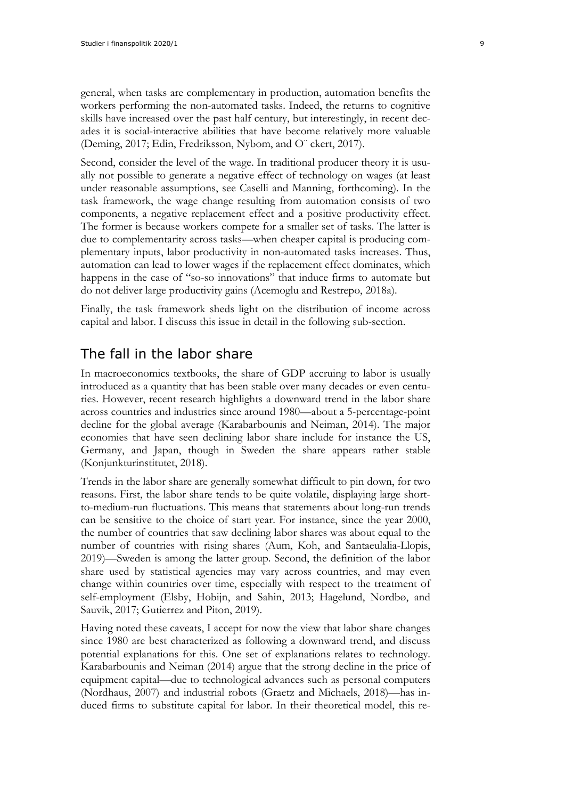general, when tasks are complementary in production, automation benefits the workers performing the non-automated tasks. Indeed, the returns to cognitive skills have increased over the past half century, but interestingly, in recent decades it is social-interactive abilities that have become relatively more valuable (Deming, 2017; Edin, Fredriksson, Nybom, and O¨ ckert, 2017).

Second, consider the level of the wage. In traditional producer theory it is usually not possible to generate a negative effect of technology on wages (at least under reasonable assumptions, see Caselli and Manning, forthcoming). In the task framework, the wage change resulting from automation consists of two components, a negative replacement effect and a positive productivity effect. The former is because workers compete for a smaller set of tasks. The latter is due to complementarity across tasks—when cheaper capital is producing complementary inputs, labor productivity in non-automated tasks increases. Thus, automation can lead to lower wages if the replacement effect dominates, which happens in the case of "so-so innovations" that induce firms to automate but do not deliver large productivity gains (Acemoglu and Restrepo, 2018a).

Finally, the task framework sheds light on the distribution of income across capital and labor. I discuss this issue in detail in the following sub-section.

#### <span id="page-8-0"></span>The fall in the labor share

In macroeconomics textbooks, the share of GDP accruing to labor is usually introduced as a quantity that has been stable over many decades or even centuries. However, recent research highlights a downward trend in the labor share across countries and industries since around 1980—about a 5-percentage-point decline for the global average (Karabarbounis and Neiman, 2014). The major economies that have seen declining labor share include for instance the US, Germany, and Japan, though in Sweden the share appears rather stable (Konjunkturinstitutet, 2018).

Trends in the labor share are generally somewhat difficult to pin down, for two reasons. First, the labor share tends to be quite volatile, displaying large shortto-medium-run fluctuations. This means that statements about long-run trends can be sensitive to the choice of start year. For instance, since the year 2000, the number of countries that saw declining labor shares was about equal to the number of countries with rising shares (Aum, Koh, and Santaeulalia-Llopis, 2019)—Sweden is among the latter group. Second, the definition of the labor share used by statistical agencies may vary across countries, and may even change within countries over time, especially with respect to the treatment of self-employment (Elsby, Hobijn, and Sahin, 2013; Hagelund, Nordbø, and Sauvik, 2017; Gutierrez and Piton, 2019).

Having noted these caveats, I accept for now the view that labor share changes since 1980 are best characterized as following a downward trend, and discuss potential explanations for this. One set of explanations relates to technology. Karabarbounis and Neiman (2014) argue that the strong decline in the price of equipment capital—due to technological advances such as personal computers (Nordhaus, 2007) and industrial robots (Graetz and Michaels, 2018)—has induced firms to substitute capital for labor. In their theoretical model, this re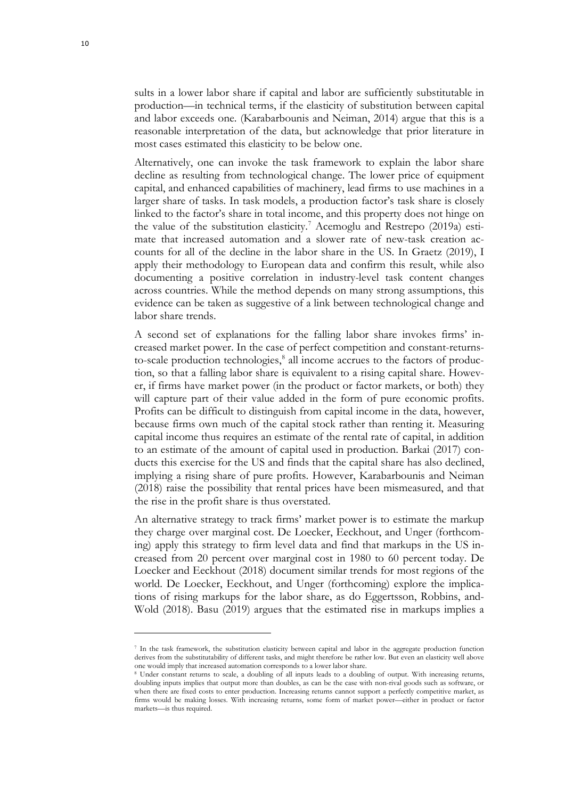sults in a lower labor share if capital and labor are sufficiently substitutable in production—in technical terms, if the elasticity of substitution between capital and labor exceeds one. (Karabarbounis and Neiman, 2014) argue that this is a reasonable interpretation of the data, but acknowledge that prior literature in most cases estimated this elasticity to be below one.

Alternatively, one can invoke the task framework to explain the labor share decline as resulting from technological change. The lower price of equipment capital, and enhanced capabilities of machinery, lead firms to use machines in a larger share of tasks. In task models, a production factor's task share is closely linked to the factor's share in total income, and this property does not hinge on the value of the substitution elasticity.<sup>[7](#page-9-0)</sup> Acemoglu and Restrepo  $(2019a)$  estimate that increased automation and a slower rate of new-task creation accounts for all of the decline in the labor share in the US. In Graetz (2019), I apply their methodology to European data and confirm this result, while also documenting a positive correlation in industry-level task content changes across countries. While the method depends on many strong assumptions, this evidence can be taken as suggestive of a link between technological change and labor share trends.

A second set of explanations for the falling labor share invokes firms' increased market power. In the case of perfect competition and constant-returnsto-scale production technologies, $\frac{8}{3}$  $\frac{8}{3}$  $\frac{8}{3}$  all income accrues to the factors of production, so that a falling labor share is equivalent to a rising capital share. However, if firms have market power (in the product or factor markets, or both) they will capture part of their value added in the form of pure economic profits. Profits can be difficult to distinguish from capital income in the data, however, because firms own much of the capital stock rather than renting it. Measuring capital income thus requires an estimate of the rental rate of capital, in addition to an estimate of the amount of capital used in production. Barkai (2017) conducts this exercise for the US and finds that the capital share has also declined, implying a rising share of pure profits. However, Karabarbounis and Neiman (2018) raise the possibility that rental prices have been mismeasured, and that the rise in the profit share is thus overstated.

An alternative strategy to track firms' market power is to estimate the markup they charge over marginal cost. De Loecker, Eeckhout, and Unger (forthcoming) apply this strategy to firm level data and find that markups in the US increased from 20 percent over marginal cost in 1980 to 60 percent today. De Loecker and Eeckhout (2018) document similar trends for most regions of the world. De Loecker, Eeckhout, and Unger (forthcoming) explore the implications of rising markups for the labor share, as do Eggertsson, Robbins, and-Wold (2018). Basu (2019) argues that the estimated rise in markups implies a

<span id="page-9-0"></span><sup>7</sup> In the task framework, the substitution elasticity between capital and labor in the aggregate production function derives from the substitutability of different tasks, and might therefore be rather low. But even an elasticity well above one would imply that increased automation corresponds to a lower labor share.

<span id="page-9-1"></span><sup>8</sup> Under constant returns to scale, a doubling of all inputs leads to a doubling of output. With increasing returns, doubling inputs implies that output more than doubles, as can be the case with non-rival goods such as software, or when there are fixed costs to enter production. Increasing returns cannot support a perfectly competitive market, as firms would be making losses. With increasing returns, some form of market power—either in product or factor markets—is thus required.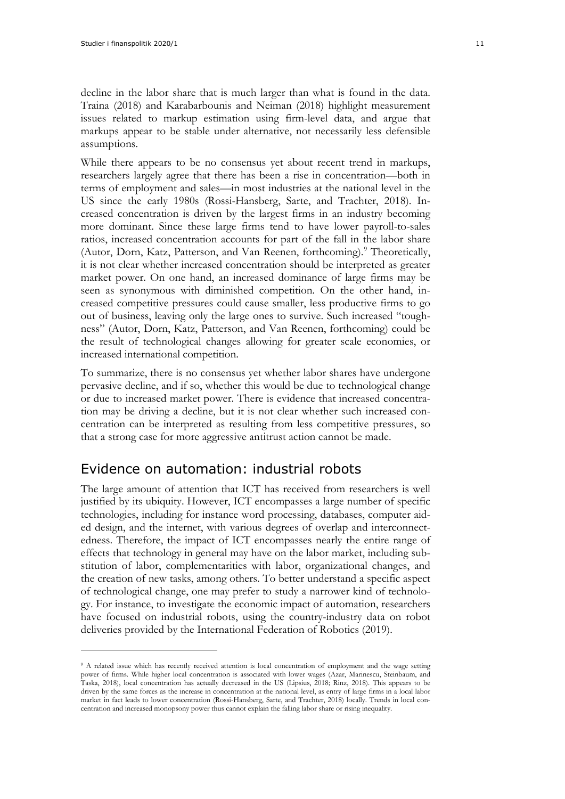decline in the labor share that is much larger than what is found in the data. Traina (2018) and Karabarbounis and Neiman (2018) highlight measurement issues related to markup estimation using firm-level data, and argue that markups appear to be stable under alternative, not necessarily less defensible assumptions.

While there appears to be no consensus yet about recent trend in markups, researchers largely agree that there has been a rise in concentration—both in terms of employment and sales—in most industries at the national level in the US since the early 1980s (Rossi-Hansberg, Sarte, and Trachter, 2018). Increased concentration is driven by the largest firms in an industry becoming more dominant. Since these large firms tend to have lower payroll-to-sales ratios, increased concentration accounts for part of the fall in the labor share (Autor, Dorn, Katz, Patterson, and Van Reenen, forthcoming).<sup>[9](#page-10-1)</sup> Theoretically, it is not clear whether increased concentration should be interpreted as greater market power. On one hand, an increased dominance of large firms may be seen as synonymous with diminished competition. On the other hand, increased competitive pressures could cause smaller, less productive firms to go out of business, leaving only the large ones to survive. Such increased "toughness" (Autor, Dorn, Katz, Patterson, and Van Reenen, forthcoming) could be the result of technological changes allowing for greater scale economies, or increased international competition.

To summarize, there is no consensus yet whether labor shares have undergone pervasive decline, and if so, whether this would be due to technological change or due to increased market power. There is evidence that increased concentration may be driving a decline, but it is not clear whether such increased concentration can be interpreted as resulting from less competitive pressures, so that a strong case for more aggressive antitrust action cannot be made.

#### <span id="page-10-0"></span>Evidence on automation: industrial robots

The large amount of attention that ICT has received from researchers is well justified by its ubiquity. However, ICT encompasses a large number of specific technologies, including for instance word processing, databases, computer aided design, and the internet, with various degrees of overlap and interconnectedness. Therefore, the impact of ICT encompasses nearly the entire range of effects that technology in general may have on the labor market, including substitution of labor, complementarities with labor, organizational changes, and the creation of new tasks, among others. To better understand a specific aspect of technological change, one may prefer to study a narrower kind of technology. For instance, to investigate the economic impact of automation, researchers have focused on industrial robots, using the country-industry data on robot deliveries provided by the International Federation of Robotics (2019).

<span id="page-10-1"></span><sup>&</sup>lt;sup>9</sup> A related issue which has recently received attention is local concentration of employment and the wage setting power of firms. While higher local concentration is associated with lower wages (Azar, Marinescu, Steinbaum, and Taska, 2018), local concentration has actually decreased in the US (Lipsius, 2018; Rinz, 2018). This appears to be driven by the same forces as the increase in concentration at the national level, as entry of large firms in a local labor market in fact leads to lower concentration (Rossi-Hansberg, Sarte, and Trachter, 2018) locally. Trends in local concentration and increased monopsony power thus cannot explain the falling labor share or rising inequality.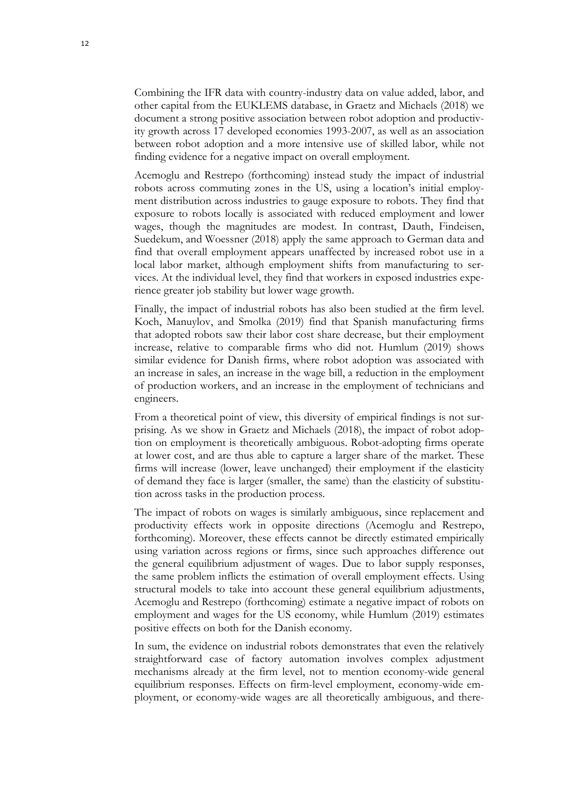Combining the IFR data with country-industry data on value added, labor, and other capital from the EUKLEMS database, in Graetz and Michaels (2018) we document a strong positive association between robot adoption and productivity growth across 17 developed economies 1993-2007, as well as an association between robot adoption and a more intensive use of skilled labor, while not finding evidence for a negative impact on overall employment.

Acemoglu and Restrepo (forthcoming) instead study the impact of industrial robots across commuting zones in the US, using a location's initial employment distribution across industries to gauge exposure to robots. They find that exposure to robots locally is associated with reduced employment and lower wages, though the magnitudes are modest. In contrast, Dauth, Findeisen, Suedekum, and Woessner (2018) apply the same approach to German data and find that overall employment appears unaffected by increased robot use in a local labor market, although employment shifts from manufacturing to services. At the individual level, they find that workers in exposed industries experience greater job stability but lower wage growth.

Finally, the impact of industrial robots has also been studied at the firm level. Koch, Manuylov, and Smolka (2019) find that Spanish manufacturing firms that adopted robots saw their labor cost share decrease, but their employment increase, relative to comparable firms who did not. Humlum (2019) shows similar evidence for Danish firms, where robot adoption was associated with an increase in sales, an increase in the wage bill, a reduction in the employment of production workers, and an increase in the employment of technicians and engineers.

From a theoretical point of view, this diversity of empirical findings is not surprising. As we show in Graetz and Michaels (2018), the impact of robot adoption on employment is theoretically ambiguous. Robot-adopting firms operate at lower cost, and are thus able to capture a larger share of the market. These firms will increase (lower, leave unchanged) their employment if the elasticity of demand they face is larger (smaller, the same) than the elasticity of substitution across tasks in the production process.

The impact of robots on wages is similarly ambiguous, since replacement and productivity effects work in opposite directions (Acemoglu and Restrepo, forthcoming). Moreover, these effects cannot be directly estimated empirically using variation across regions or firms, since such approaches difference out the general equilibrium adjustment of wages. Due to labor supply responses, the same problem inflicts the estimation of overall employment effects. Using structural models to take into account these general equilibrium adjustments, Acemoglu and Restrepo (forthcoming) estimate a negative impact of robots on employment and wages for the US economy, while Humlum (2019) estimates positive effects on both for the Danish economy.

In sum, the evidence on industrial robots demonstrates that even the relatively straightforward case of factory automation involves complex adjustment mechanisms already at the firm level, not to mention economy-wide general equilibrium responses. Effects on firm-level employment, economy-wide employment, or economy-wide wages are all theoretically ambiguous, and there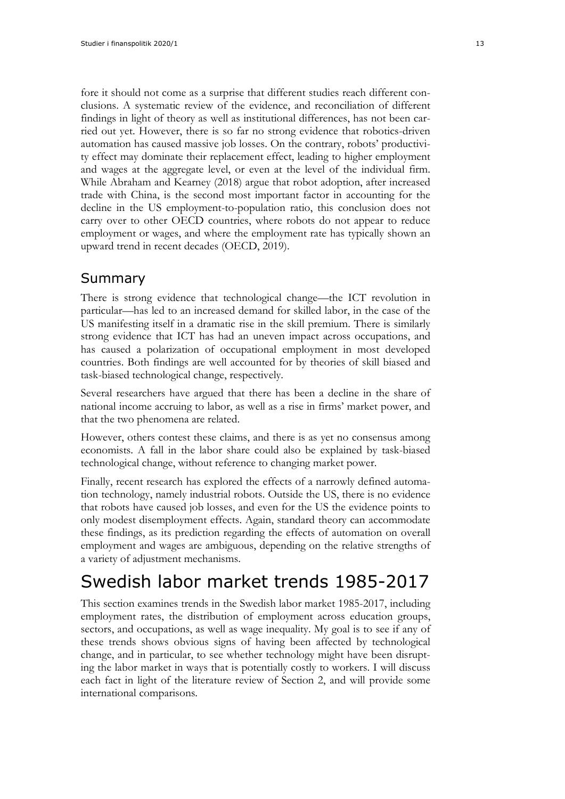fore it should not come as a surprise that different studies reach different conclusions. A systematic review of the evidence, and reconciliation of different findings in light of theory as well as institutional differences, has not been carried out yet. However, there is so far no strong evidence that robotics-driven automation has caused massive job losses. On the contrary, robots' productivity effect may dominate their replacement effect, leading to higher employment and wages at the aggregate level, or even at the level of the individual firm. While Abraham and Kearney (2018) argue that robot adoption, after increased trade with China, is the second most important factor in accounting for the decline in the US employment-to-population ratio, this conclusion does not carry over to other OECD countries, where robots do not appear to reduce employment or wages, and where the employment rate has typically shown an upward trend in recent decades (OECD, 2019).

### <span id="page-12-0"></span>Summary

There is strong evidence that technological change—the ICT revolution in particular—has led to an increased demand for skilled labor, in the case of the US manifesting itself in a dramatic rise in the skill premium. There is similarly strong evidence that ICT has had an uneven impact across occupations, and has caused a polarization of occupational employment in most developed countries. Both findings are well accounted for by theories of skill biased and task-biased technological change, respectively.

Several researchers have argued that there has been a decline in the share of national income accruing to labor, as well as a rise in firms' market power, and that the two phenomena are related.

However, others contest these claims, and there is as yet no consensus among economists. A fall in the labor share could also be explained by task-biased technological change, without reference to changing market power.

Finally, recent research has explored the effects of a narrowly defined automation technology, namely industrial robots. Outside the US, there is no evidence that robots have caused job losses, and even for the US the evidence points to only modest disemployment effects. Again, standard theory can accommodate these findings, as its prediction regarding the effects of automation on overall employment and wages are ambiguous, depending on the relative strengths of a variety of adjustment mechanisms.

# <span id="page-12-1"></span>Swedish labor market trends 1985-2017

This section examines trends in the Swedish labor market 1985-2017, including employment rates, the distribution of employment across education groups, sectors, and occupations, as well as wage inequality. My goal is to see if any of these trends shows obvious signs of having been affected by technological change, and in particular, to see whether technology might have been disrupting the labor market in ways that is potentially costly to workers. I will discuss each fact in light of the literature review of Section 2, and will provide some international comparisons.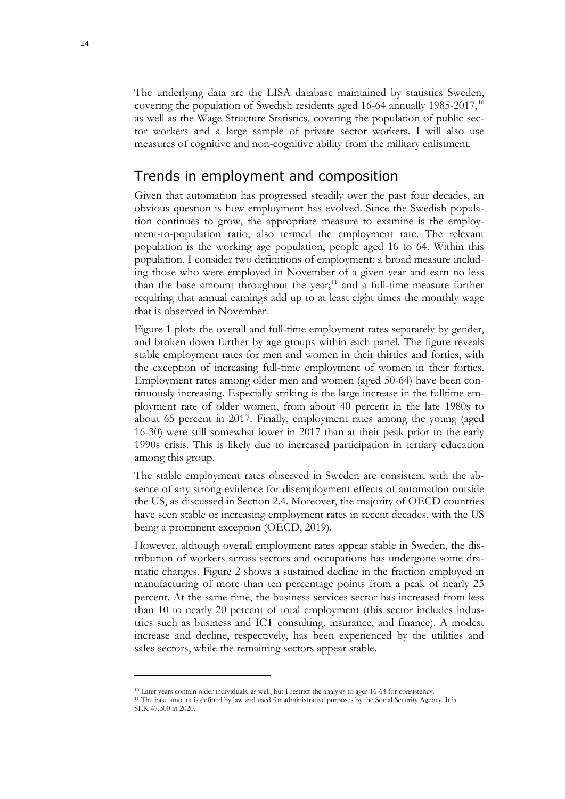The underlying data are the LISA database maintained by statistics Sweden, covering the population of Swedish residents aged 16-64 annually 1985-2017,<sup>[10](#page-13-1)</sup> as well as the Wage Structure Statistics, covering the population of public sector workers and a large sample of private sector workers. I will also use measures of cognitive and non-cognitive ability from the military enlistment.

#### <span id="page-13-0"></span>Trends in employment and composition

Given that automation has progressed steadily over the past four decades, an obvious question is how employment has evolved. Since the Swedish population continues to grow, the appropriate measure to examine is the employment-to-population ratio, also termed the employment rate. The relevant population is the working age population, people aged 16 to 64. Within this population, I consider two definitions of employment: a broad measure including those who were employed in November of a given year and earn no less than the base amount throughout the year;<sup>[11](#page-13-2)</sup> and a full-time measure further requiring that annual earnings add up to at least eight times the monthly wage that is observed in November.

Figure 1 plots the overall and full-time employment rates separately by gender, and broken down further by age groups within each panel. The figure reveals stable employment rates for men and women in their thirties and forties, with the exception of increasing full-time employment of women in their forties. Employment rates among older men and women (aged 50-64) have been continuously increasing. Especially striking is the large increase in the fulltime employment rate of older women, from about 40 percent in the late 1980s to about 65 percent in 2017. Finally, employment rates among the young (aged 16-30) were still somewhat lower in 2017 than at their peak prior to the early 1990s crisis. This is likely due to increased participation in tertiary education among this group.

The stable employment rates observed in Sweden are consistent with the absence of any strong evidence for disemployment effects of automation outside the US, as discussed in Section 2.4. Moreover, the majority of OECD countries have seen stable or increasing employment rates in recent decades, with the US being a prominent exception (OECD, 2019).

However, although overall employment rates appear stable in Sweden, the distribution of workers across sectors and occupations has undergone some dramatic changes. Figure 2 shows a sustained decline in the fraction employed in manufacturing of more than ten percentage points from a peak of nearly 25 percent. At the same time, the business services sector has increased from less than 10 to nearly 20 percent of total employment (this sector includes industries such as business and ICT consulting, insurance, and finance). A modest increase and decline, respectively, has been experienced by the utilities and sales sectors, while the remaining sectors appear stable.

<sup>10</sup> Later years contain older individuals, as well, but I restrict the analysis to ages 16-64 for consistency.

<span id="page-13-2"></span><span id="page-13-1"></span><sup>&</sup>lt;sup>11</sup> The base amount is defined by law and used for administrative purposes by the Social Security Agency. It is SEK 47,300 in 2020.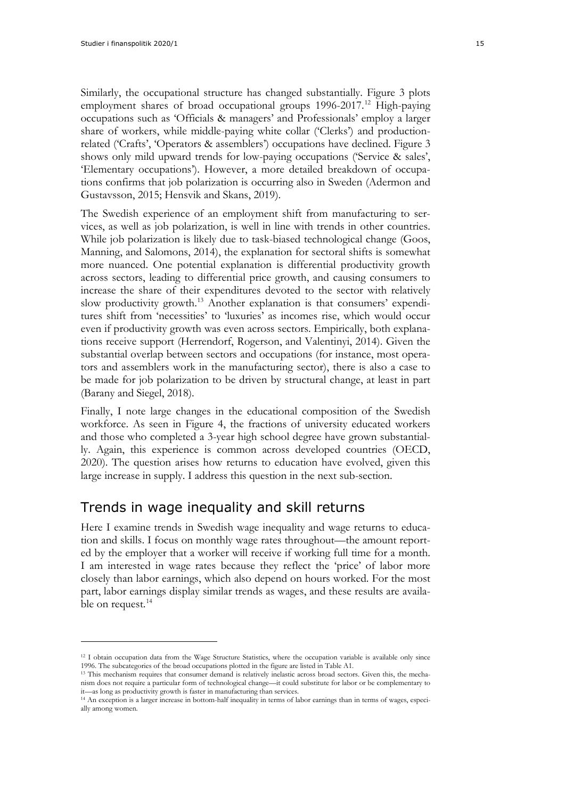Similarly, the occupational structure has changed substantially. Figure 3 plots employment shares of broad occupational groups 1996-2017.<sup>[12](#page-14-1)</sup> High-paying occupations such as 'Officials & managers' and Professionals' employ a larger share of workers, while middle-paying white collar ('Clerks') and productionrelated ('Crafts', 'Operators & assemblers') occupations have declined. Figure 3 shows only mild upward trends for low-paying occupations ('Service & sales', 'Elementary occupations'). However, a more detailed breakdown of occupations confirms that job polarization is occurring also in Sweden (Adermon and Gustavsson, 2015; Hensvik and Skans, 2019).

The Swedish experience of an employment shift from manufacturing to services, as well as job polarization, is well in line with trends in other countries. While job polarization is likely due to task-biased technological change (Goos, Manning, and Salomons, 2014), the explanation for sectoral shifts is somewhat more nuanced. One potential explanation is differential productivity growth across sectors, leading to differential price growth, and causing consumers to increase the share of their expenditures devoted to the sector with relatively slow productivity growth.<sup>[13](#page-14-2)</sup> Another explanation is that consumers' expenditures shift from 'necessities' to 'luxuries' as incomes rise, which would occur even if productivity growth was even across sectors. Empirically, both explanations receive support (Herrendorf, Rogerson, and Valentinyi, 2014). Given the substantial overlap between sectors and occupations (for instance, most operators and assemblers work in the manufacturing sector), there is also a case to be made for job polarization to be driven by structural change, at least in part (Barany and Siegel, 2018).

Finally, I note large changes in the educational composition of the Swedish workforce. As seen in Figure 4, the fractions of university educated workers and those who completed a 3-year high school degree have grown substantially. Again, this experience is common across developed countries (OECD, 2020). The question arises how returns to education have evolved, given this large increase in supply. I address this question in the next sub-section.

#### <span id="page-14-0"></span>Trends in wage inequality and skill returns

Here I examine trends in Swedish wage inequality and wage returns to education and skills. I focus on monthly wage rates throughout—the amount reported by the employer that a worker will receive if working full time for a month. I am interested in wage rates because they reflect the 'price' of labor more closely than labor earnings, which also depend on hours worked. For the most part, labor earnings display similar trends as wages, and these results are availa-ble on request.<sup>[14](#page-14-3)</sup>

<span id="page-14-1"></span><sup>&</sup>lt;sup>12</sup> I obtain occupation data from the Wage Structure Statistics, where the occupation variable is available only since 1996. The subcategories of the broad occupations plotted in the figure are listed in Table A1.

<span id="page-14-2"></span><sup>&</sup>lt;sup>13</sup> This mechanism requires that consumer demand is relatively inelastic across broad sectors. Given this, the mechanism does not require a particular form of technological change—it could substitute for labor or be complementary to it—as long as productivity growth is faster in manufacturing than services.

<span id="page-14-3"></span><sup>14</sup> An exception is a larger increase in bottom-half inequality in terms of labor earnings than in terms of wages, especially among women.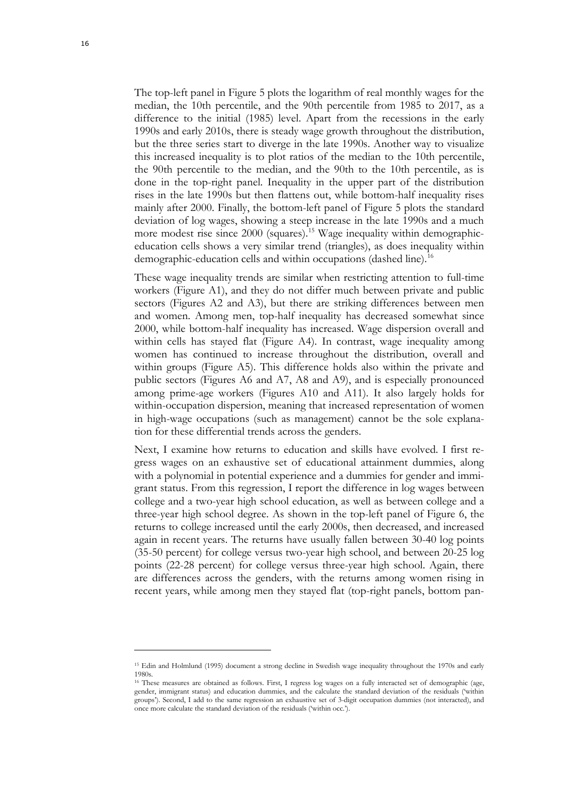The top-left panel in Figure 5 plots the logarithm of real monthly wages for the median, the 10th percentile, and the 90th percentile from 1985 to 2017, as a difference to the initial (1985) level. Apart from the recessions in the early 1990s and early 2010s, there is steady wage growth throughout the distribution, but the three series start to diverge in the late 1990s. Another way to visualize this increased inequality is to plot ratios of the median to the 10th percentile, the 90th percentile to the median, and the 90th to the 10th percentile, as is done in the top-right panel. Inequality in the upper part of the distribution rises in the late 1990s but then flattens out, while bottom-half inequality rises mainly after 2000. Finally, the bottom-left panel of Figure 5 plots the standard deviation of log wages, showing a steep increase in the late 1990s and a much more modest rise since 2000 (squares).<sup>[15](#page-15-0)</sup> Wage inequality within demographiceducation cells shows a very similar trend (triangles), as does inequality within demographic-education cells and within occupations (dashed line).<sup>[16](#page-15-1)</sup>

These wage inequality trends are similar when restricting attention to full-time workers (Figure A1), and they do not differ much between private and public sectors (Figures A2 and A3), but there are striking differences between men and women. Among men, top-half inequality has decreased somewhat since 2000, while bottom-half inequality has increased. Wage dispersion overall and within cells has stayed flat (Figure A4). In contrast, wage inequality among women has continued to increase throughout the distribution, overall and within groups (Figure A5). This difference holds also within the private and public sectors (Figures A6 and A7, A8 and A9), and is especially pronounced among prime-age workers (Figures A10 and A11). It also largely holds for within-occupation dispersion, meaning that increased representation of women in high-wage occupations (such as management) cannot be the sole explanation for these differential trends across the genders.

Next, I examine how returns to education and skills have evolved. I first regress wages on an exhaustive set of educational attainment dummies, along with a polynomial in potential experience and a dummies for gender and immigrant status. From this regression, I report the difference in log wages between college and a two-year high school education, as well as between college and a three-year high school degree. As shown in the top-left panel of Figure 6, the returns to college increased until the early 2000s, then decreased, and increased again in recent years. The returns have usually fallen between 30-40 log points (35-50 percent) for college versus two-year high school, and between 20-25 log points (22-28 percent) for college versus three-year high school. Again, there are differences across the genders, with the returns among women rising in recent years, while among men they stayed flat (top-right panels, bottom pan-

<span id="page-15-0"></span><sup>15</sup> Edin and Holmlund (1995) document a strong decline in Swedish wage inequality throughout the 1970s and early 1980s.

<span id="page-15-1"></span><sup>16</sup> These measures are obtained as follows. First, I regress log wages on a fully interacted set of demographic (age, gender, immigrant status) and education dummies, and the calculate the standard deviation of the residuals ('within groups'). Second, I add to the same regression an exhaustive set of 3-digit occupation dummies (not interacted), and once more calculate the standard deviation of the residuals ('within occ.').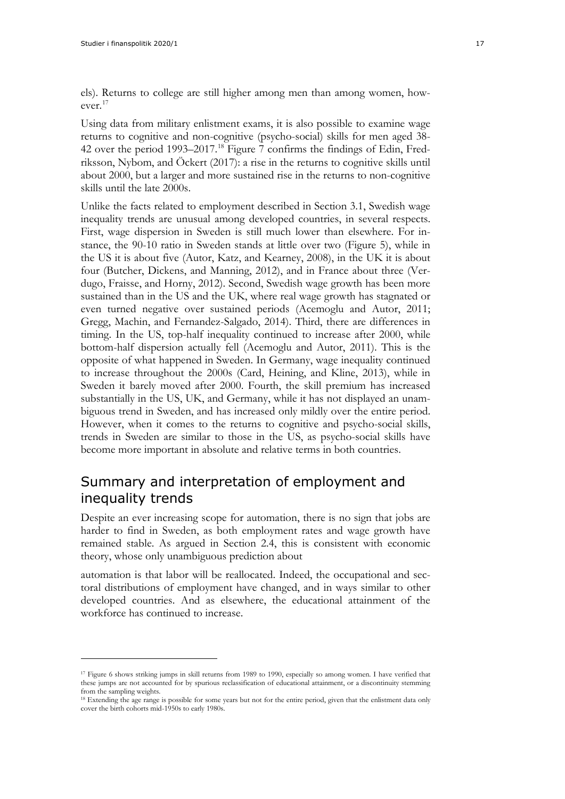els). Returns to college are still higher among men than among women, however.[17](#page-16-1)

Using data from military enlistment exams, it is also possible to examine wage returns to cognitive and non-cognitive (psycho-social) skills for men aged 38- 42 over the period 1993–2017.<sup>[18](#page-16-2)</sup> Figure 7 confirms the findings of Edin, Fredriksson, Nybom, and Öckert (2017): a rise in the returns to cognitive skills until about 2000, but a larger and more sustained rise in the returns to non-cognitive skills until the late 2000s.

Unlike the facts related to employment described in Section 3.1, Swedish wage inequality trends are unusual among developed countries, in several respects. First, wage dispersion in Sweden is still much lower than elsewhere. For instance, the 90-10 ratio in Sweden stands at little over two (Figure 5), while in the US it is about five (Autor, Katz, and Kearney, 2008), in the UK it is about four (Butcher, Dickens, and Manning, 2012), and in France about three (Verdugo, Fraisse, and Horny, 2012). Second, Swedish wage growth has been more sustained than in the US and the UK, where real wage growth has stagnated or even turned negative over sustained periods (Acemoglu and Autor, 2011; Gregg, Machin, and Fernandez-Salgado, 2014). Third, there are differences in timing. In the US, top-half inequality continued to increase after 2000, while bottom-half dispersion actually fell (Acemoglu and Autor, 2011). This is the opposite of what happened in Sweden. In Germany, wage inequality continued to increase throughout the 2000s (Card, Heining, and Kline, 2013), while in Sweden it barely moved after 2000. Fourth, the skill premium has increased substantially in the US, UK, and Germany, while it has not displayed an unambiguous trend in Sweden, and has increased only mildly over the entire period. However, when it comes to the returns to cognitive and psycho-social skills, trends in Sweden are similar to those in the US, as psycho-social skills have become more important in absolute and relative terms in both countries.

### <span id="page-16-0"></span>Summary and interpretation of employment and inequality trends

Despite an ever increasing scope for automation, there is no sign that jobs are harder to find in Sweden, as both employment rates and wage growth have remained stable. As argued in Section 2.4, this is consistent with economic theory, whose only unambiguous prediction about

automation is that labor will be reallocated. Indeed, the occupational and sectoral distributions of employment have changed, and in ways similar to other developed countries. And as elsewhere, the educational attainment of the workforce has continued to increase.

<span id="page-16-1"></span><sup>17</sup> Figure 6 shows striking jumps in skill returns from 1989 to 1990, especially so among women. I have verified that these jumps are not accounted for by spurious reclassification of educational attainment, or a discontinuity stemming from the sampling weights.

<span id="page-16-2"></span><sup>18</sup> Extending the age range is possible for some years but not for the entire period, given that the enlistment data only cover the birth cohorts mid-1950s to early 1980s.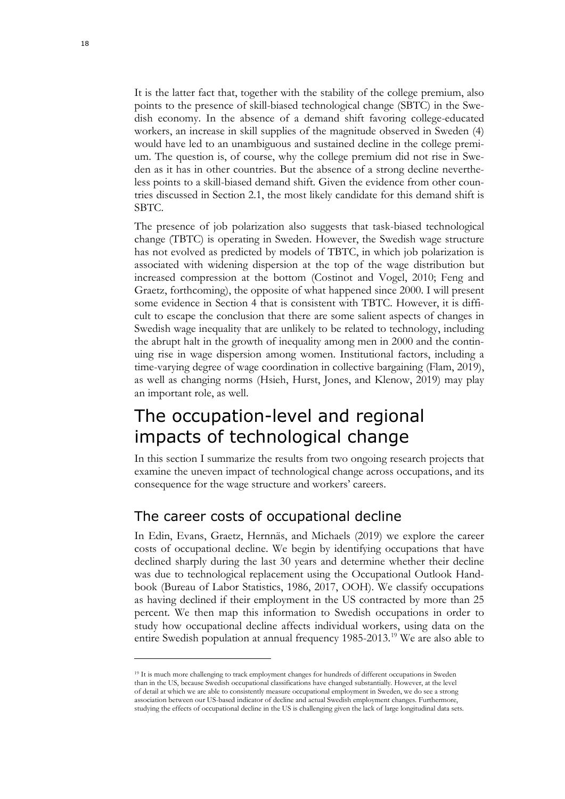It is the latter fact that, together with the stability of the college premium, also points to the presence of skill-biased technological change (SBTC) in the Swedish economy. In the absence of a demand shift favoring college-educated workers, an increase in skill supplies of the magnitude observed in Sweden (4) would have led to an unambiguous and sustained decline in the college premium. The question is, of course, why the college premium did not rise in Sweden as it has in other countries. But the absence of a strong decline nevertheless points to a skill-biased demand shift. Given the evidence from other countries discussed in Section 2.1, the most likely candidate for this demand shift is SBTC.

The presence of job polarization also suggests that task-biased technological change (TBTC) is operating in Sweden. However, the Swedish wage structure has not evolved as predicted by models of TBTC, in which job polarization is associated with widening dispersion at the top of the wage distribution but increased compression at the bottom (Costinot and Vogel, 2010; Feng and Graetz, forthcoming), the opposite of what happened since 2000. I will present some evidence in Section 4 that is consistent with TBTC. However, it is difficult to escape the conclusion that there are some salient aspects of changes in Swedish wage inequality that are unlikely to be related to technology, including the abrupt halt in the growth of inequality among men in 2000 and the continuing rise in wage dispersion among women. Institutional factors, including a time-varying degree of wage coordination in collective bargaining (Flam, 2019), as well as changing norms (Hsieh, Hurst, Jones, and Klenow, 2019) may play an important role, as well.

## <span id="page-17-0"></span>The occupation-level and regional impacts of technological change

In this section I summarize the results from two ongoing research projects that examine the uneven impact of technological change across occupations, and its consequence for the wage structure and workers' careers.

### <span id="page-17-1"></span>The career costs of occupational decline

In Edin, Evans, Graetz, Hernnäs, and Michaels (2019) we explore the career costs of occupational decline. We begin by identifying occupations that have declined sharply during the last 30 years and determine whether their decline was due to technological replacement using the Occupational Outlook Handbook (Bureau of Labor Statistics, 1986, 2017, OOH). We classify occupations as having declined if their employment in the US contracted by more than 25 percent. We then map this information to Swedish occupations in order to study how occupational decline affects individual workers, using data on the entire Swedish population at annual frequency 1985-2013.[19](#page-17-2) We are also able to

<span id="page-17-2"></span><sup>&</sup>lt;sup>19</sup> It is much more challenging to track employment changes for hundreds of different occupations in Sweden than in the US, because Swedish occupational classifications have changed substantially. However, at the level of detail at which we are able to consistently measure occupational employment in Sweden, we do see a strong association between our US-based indicator of decline and actual Swedish employment changes. Furthermore, studying the effects of occupational decline in the US is challenging given the lack of large longitudinal data sets.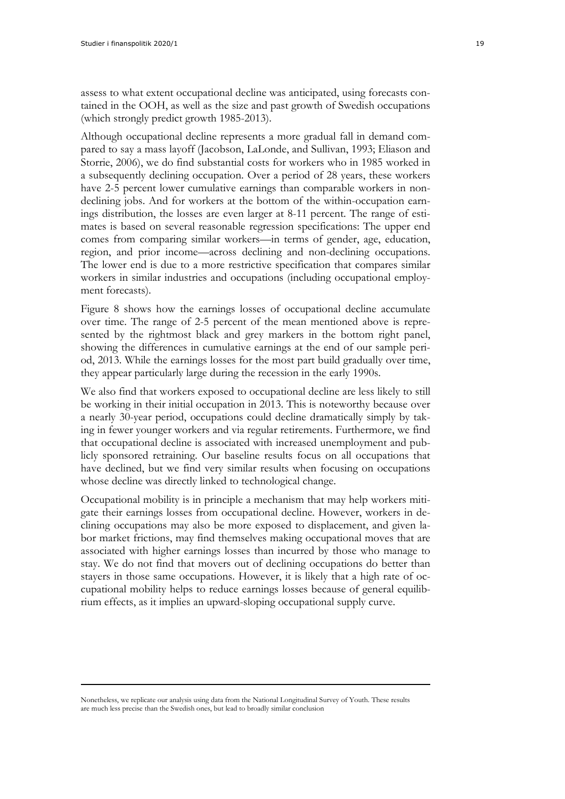assess to what extent occupational decline was anticipated, using forecasts contained in the OOH, as well as the size and past growth of Swedish occupations (which strongly predict growth 1985-2013).

Although occupational decline represents a more gradual fall in demand compared to say a mass layoff (Jacobson, LaLonde, and Sullivan, 1993; Eliason and Storrie, 2006), we do find substantial costs for workers who in 1985 worked in a subsequently declining occupation. Over a period of 28 years, these workers have 2-5 percent lower cumulative earnings than comparable workers in nondeclining jobs. And for workers at the bottom of the within-occupation earnings distribution, the losses are even larger at 8-11 percent. The range of estimates is based on several reasonable regression specifications: The upper end comes from comparing similar workers—in terms of gender, age, education, region, and prior income—across declining and non-declining occupations. The lower end is due to a more restrictive specification that compares similar workers in similar industries and occupations (including occupational employment forecasts).

Figure 8 shows how the earnings losses of occupational decline accumulate over time. The range of 2-5 percent of the mean mentioned above is represented by the rightmost black and grey markers in the bottom right panel, showing the differences in cumulative earnings at the end of our sample period, 2013. While the earnings losses for the most part build gradually over time, they appear particularly large during the recession in the early 1990s.

We also find that workers exposed to occupational decline are less likely to still be working in their initial occupation in 2013. This is noteworthy because over a nearly 30-year period, occupations could decline dramatically simply by taking in fewer younger workers and via regular retirements. Furthermore, we find that occupational decline is associated with increased unemployment and publicly sponsored retraining. Our baseline results focus on all occupations that have declined, but we find very similar results when focusing on occupations whose decline was directly linked to technological change.

Occupational mobility is in principle a mechanism that may help workers mitigate their earnings losses from occupational decline. However, workers in declining occupations may also be more exposed to displacement, and given labor market frictions, may find themselves making occupational moves that are associated with higher earnings losses than incurred by those who manage to stay. We do not find that movers out of declining occupations do better than stayers in those same occupations. However, it is likely that a high rate of occupational mobility helps to reduce earnings losses because of general equilibrium effects, as it implies an upward-sloping occupational supply curve.

Nonetheless, we replicate our analysis using data from the National Longitudinal Survey of Youth. These results are much less precise than the Swedish ones, but lead to broadly similar conclusion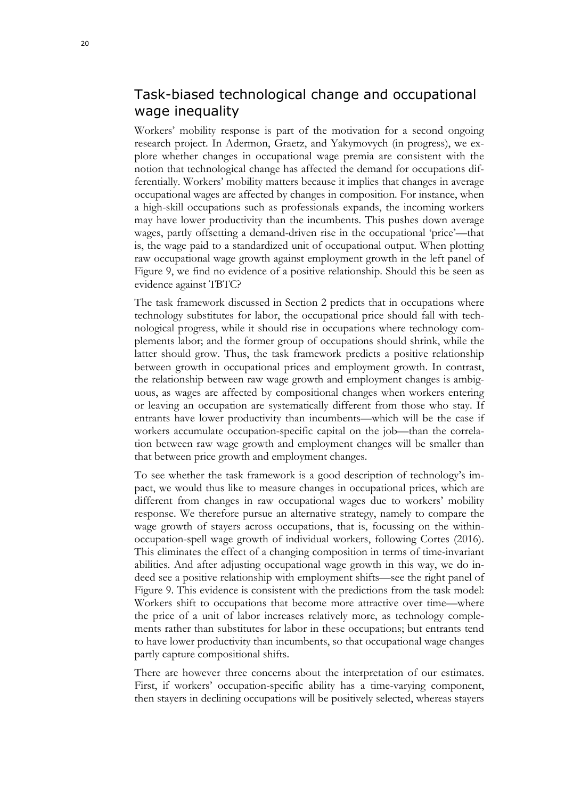### <span id="page-19-0"></span>Task-biased technological change and occupational wage inequality

Workers' mobility response is part of the motivation for a second ongoing research project. In Adermon, Graetz, and Yakymovych (in progress), we explore whether changes in occupational wage premia are consistent with the notion that technological change has affected the demand for occupations differentially. Workers' mobility matters because it implies that changes in average occupational wages are affected by changes in composition. For instance, when a high-skill occupations such as professionals expands, the incoming workers may have lower productivity than the incumbents. This pushes down average wages, partly offsetting a demand-driven rise in the occupational 'price'—that is, the wage paid to a standardized unit of occupational output. When plotting raw occupational wage growth against employment growth in the left panel of Figure 9, we find no evidence of a positive relationship. Should this be seen as evidence against TBTC?

The task framework discussed in Section 2 predicts that in occupations where technology substitutes for labor, the occupational price should fall with technological progress, while it should rise in occupations where technology complements labor; and the former group of occupations should shrink, while the latter should grow. Thus, the task framework predicts a positive relationship between growth in occupational prices and employment growth. In contrast, the relationship between raw wage growth and employment changes is ambiguous, as wages are affected by compositional changes when workers entering or leaving an occupation are systematically different from those who stay. If entrants have lower productivity than incumbents—which will be the case if workers accumulate occupation-specific capital on the job—than the correlation between raw wage growth and employment changes will be smaller than that between price growth and employment changes.

To see whether the task framework is a good description of technology's impact, we would thus like to measure changes in occupational prices, which are different from changes in raw occupational wages due to workers' mobility response. We therefore pursue an alternative strategy, namely to compare the wage growth of stayers across occupations, that is, focussing on the withinoccupation-spell wage growth of individual workers, following Cortes (2016). This eliminates the effect of a changing composition in terms of time-invariant abilities. And after adjusting occupational wage growth in this way, we do indeed see a positive relationship with employment shifts—see the right panel of Figure 9. This evidence is consistent with the predictions from the task model: Workers shift to occupations that become more attractive over time—where the price of a unit of labor increases relatively more, as technology complements rather than substitutes for labor in these occupations; but entrants tend to have lower productivity than incumbents, so that occupational wage changes partly capture compositional shifts.

There are however three concerns about the interpretation of our estimates. First, if workers' occupation-specific ability has a time-varying component, then stayers in declining occupations will be positively selected, whereas stayers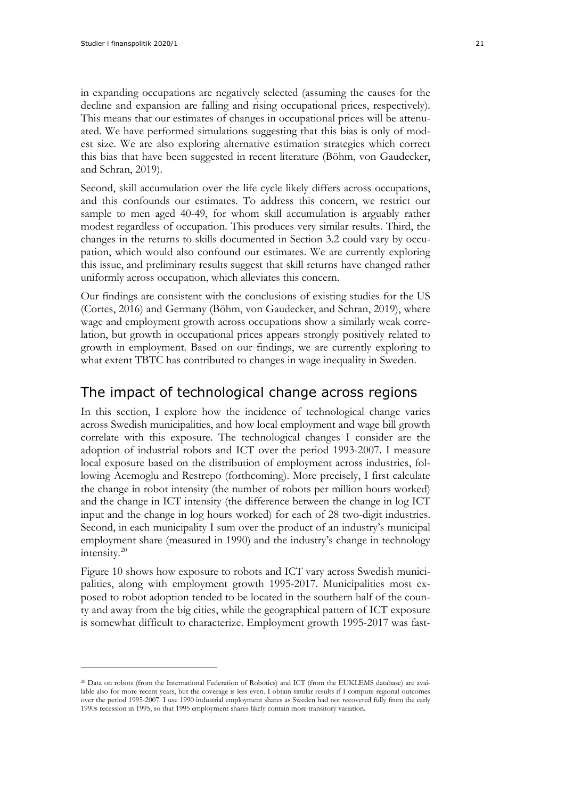in expanding occupations are negatively selected (assuming the causes for the decline and expansion are falling and rising occupational prices, respectively). This means that our estimates of changes in occupational prices will be attenuated. We have performed simulations suggesting that this bias is only of modest size. We are also exploring alternative estimation strategies which correct this bias that have been suggested in recent literature (Böhm, von Gaudecker, and Schran, 2019).

Second, skill accumulation over the life cycle likely differs across occupations, and this confounds our estimates. To address this concern, we restrict our sample to men aged 40-49, for whom skill accumulation is arguably rather modest regardless of occupation. This produces very similar results. Third, the changes in the returns to skills documented in Section 3.2 could vary by occupation, which would also confound our estimates. We are currently exploring this issue, and preliminary results suggest that skill returns have changed rather uniformly across occupation, which alleviates this concern.

Our findings are consistent with the conclusions of existing studies for the US (Cortes, 2016) and Germany (Böhm, von Gaudecker, and Schran, 2019), where wage and employment growth across occupations show a similarly weak correlation, but growth in occupational prices appears strongly positively related to growth in employment. Based on our findings, we are currently exploring to what extent TBTC has contributed to changes in wage inequality in Sweden.

#### <span id="page-20-0"></span>The impact of technological change across regions

In this section, I explore how the incidence of technological change varies across Swedish municipalities, and how local employment and wage bill growth correlate with this exposure. The technological changes I consider are the adoption of industrial robots and ICT over the period 1993-2007. I measure local exposure based on the distribution of employment across industries, following Acemoglu and Restrepo (forthcoming). More precisely, I first calculate the change in robot intensity (the number of robots per million hours worked) and the change in ICT intensity (the difference between the change in log ICT input and the change in log hours worked) for each of 28 two-digit industries. Second, in each municipality I sum over the product of an industry's municipal employment share (measured in 1990) and the industry's change in technology intensity.[20](#page-20-1)

Figure 10 shows how exposure to robots and ICT vary across Swedish municipalities, along with employment growth 1995-2017. Municipalities most exposed to robot adoption tended to be located in the southern half of the county and away from the big cities, while the geographical pattern of ICT exposure is somewhat difficult to characterize. Employment growth 1995-2017 was fast-

<span id="page-20-1"></span><sup>20</sup> Data on robots (from the International Federation of Robotics) and ICT (from the EUKLEMS database) are available also for more recent years, but the coverage is less even. I obtain similar results if I compute regional outcomes over the period 1995-2007. I use 1990 industrial employment shares as Sweden had not recovered fully from the early 1990s recession in 1995, so that 1995 employment shares likely contain more transitory variation.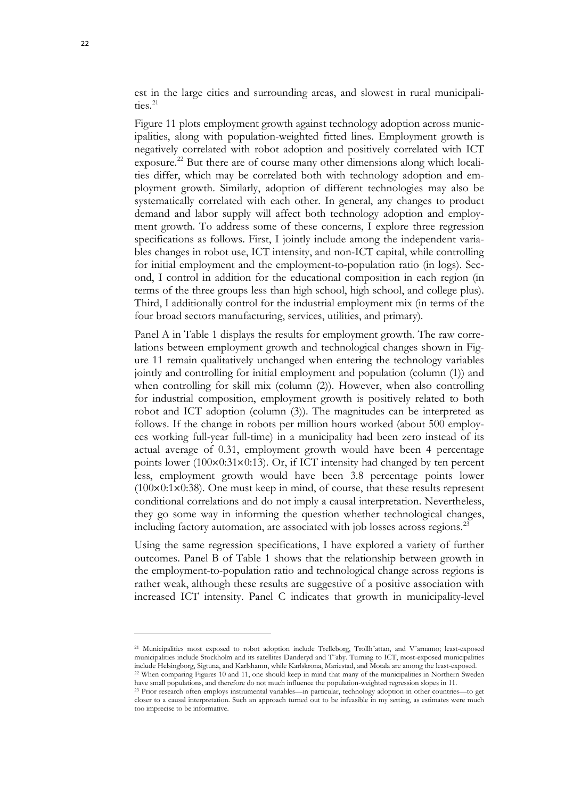est in the large cities and surrounding areas, and slowest in rural municipalities.<sup>21</sup>

Figure 11 plots employment growth against technology adoption across municipalities, along with population-weighted fitted lines. Employment growth is negatively correlated with robot adoption and positively correlated with ICT exposure.[22](#page-21-1) But there are of course many other dimensions along which localities differ, which may be correlated both with technology adoption and employment growth. Similarly, adoption of different technologies may also be systematically correlated with each other. In general, any changes to product demand and labor supply will affect both technology adoption and employment growth. To address some of these concerns, I explore three regression specifications as follows. First, I jointly include among the independent variables changes in robot use, ICT intensity, and non-ICT capital, while controlling for initial employment and the employment-to-population ratio (in logs). Second, I control in addition for the educational composition in each region (in terms of the three groups less than high school, high school, and college plus). Third, I additionally control for the industrial employment mix (in terms of the four broad sectors manufacturing, services, utilities, and primary).

Panel A in Table 1 displays the results for employment growth. The raw correlations between employment growth and technological changes shown in Figure 11 remain qualitatively unchanged when entering the technology variables jointly and controlling for initial employment and population (column (1)) and when controlling for skill mix (column (2)). However, when also controlling for industrial composition, employment growth is positively related to both robot and ICT adoption (column (3)). The magnitudes can be interpreted as follows. If the change in robots per million hours worked (about 500 employees working full-year full-time) in a municipality had been zero instead of its actual average of 0.31, employment growth would have been 4 percentage points lower ( $100\times0:31\times0:13$ ). Or, if ICT intensity had changed by ten percent less, employment growth would have been 3.8 percentage points lower  $(100\times0.1\times0.38)$ . One must keep in mind, of course, that these results represent conditional correlations and do not imply a causal interpretation. Nevertheless, they go some way in informing the question whether technological changes, including factory automation, are associated with job losses across regions.<sup>[23](#page-21-2)</sup>

Using the same regression specifications, I have explored a variety of further outcomes. Panel B of Table 1 shows that the relationship between growth in the employment-to-population ratio and technological change across regions is rather weak, although these results are suggestive of a positive association with increased ICT intensity. Panel C indicates that growth in municipality-level

<span id="page-21-0"></span><sup>21</sup> Municipalities most exposed to robot adoption include Trelleborg, Trollh¨attan, and V¨arnamo; least-exposed municipalities include Stockholm and its satellites Danderyd and T¨aby. Turning to ICT, most-exposed municipalities include Helsingborg, Sigtuna, and Karlshamn, while Karlskrona, Mariestad, and Motala are among the least-exposed. <sup>22</sup> When comparing Figures 10 and 11, one should keep in mind that many of the municipalities in Northern Sweden have small populations, and therefore do not much influence the population-weighted regression slopes in 11.

<span id="page-21-2"></span><span id="page-21-1"></span><sup>23</sup> Prior research often employs instrumental variables—in particular, technology adoption in other countries—to get closer to a causal interpretation. Such an approach turned out to be infeasible in my setting, as estimates were much too imprecise to be informative.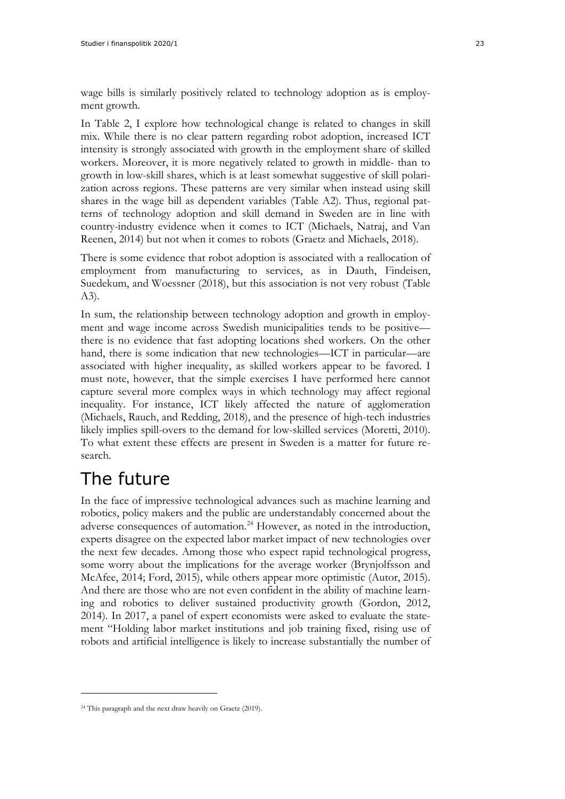wage bills is similarly positively related to technology adoption as is employment growth.

In Table 2, I explore how technological change is related to changes in skill mix. While there is no clear pattern regarding robot adoption, increased ICT intensity is strongly associated with growth in the employment share of skilled workers. Moreover, it is more negatively related to growth in middle- than to growth in low-skill shares, which is at least somewhat suggestive of skill polarization across regions. These patterns are very similar when instead using skill shares in the wage bill as dependent variables (Table A2). Thus, regional patterns of technology adoption and skill demand in Sweden are in line with country-industry evidence when it comes to ICT (Michaels, Natraj, and Van Reenen, 2014) but not when it comes to robots (Graetz and Michaels, 2018).

There is some evidence that robot adoption is associated with a reallocation of employment from manufacturing to services, as in Dauth, Findeisen, Suedekum, and Woessner (2018), but this association is not very robust (Table A3).

In sum, the relationship between technology adoption and growth in employment and wage income across Swedish municipalities tends to be positive there is no evidence that fast adopting locations shed workers. On the other hand, there is some indication that new technologies—ICT in particular—are associated with higher inequality, as skilled workers appear to be favored. I must note, however, that the simple exercises I have performed here cannot capture several more complex ways in which technology may affect regional inequality. For instance, ICT likely affected the nature of agglomeration (Michaels, Rauch, and Redding, 2018), and the presence of high-tech industries likely implies spill-overs to the demand for low-skilled services (Moretti, 2010). To what extent these effects are present in Sweden is a matter for future research.

# <span id="page-22-0"></span>The future

In the face of impressive technological advances such as machine learning and robotics, policy makers and the public are understandably concerned about the adverse consequences of automation.<sup>[24](#page-22-1)</sup> However, as noted in the introduction, experts disagree on the expected labor market impact of new technologies over the next few decades. Among those who expect rapid technological progress, some worry about the implications for the average worker (Brynjolfsson and McAfee, 2014; Ford, 2015), while others appear more optimistic (Autor, 2015). And there are those who are not even confident in the ability of machine learning and robotics to deliver sustained productivity growth (Gordon, 2012, 2014). In 2017, a panel of expert economists were asked to evaluate the statement "Holding labor market institutions and job training fixed, rising use of robots and artificial intelligence is likely to increase substantially the number of

<span id="page-22-1"></span><sup>24</sup> This paragraph and the next draw heavily on Graetz (2019).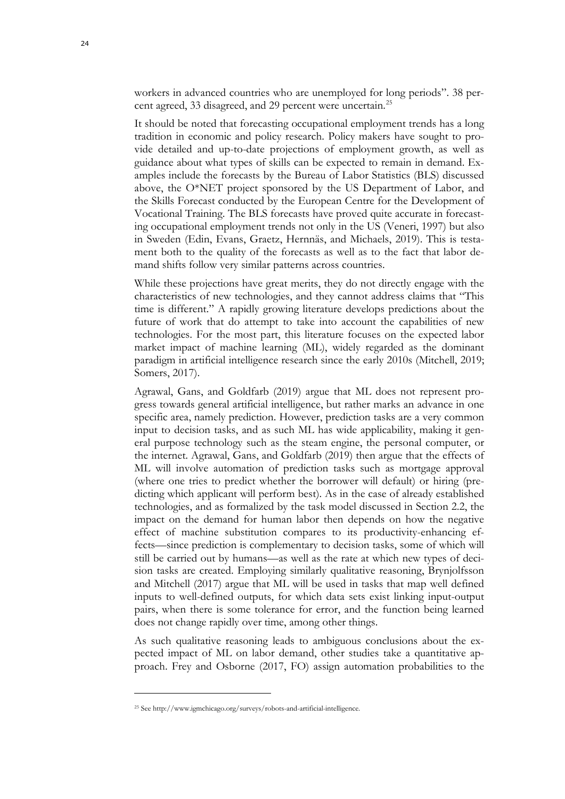workers in advanced countries who are unemployed for long periods". 38 percent agreed, 33 disagreed, and 29 percent were uncertain.[25](#page-23-0)

It should be noted that forecasting occupational employment trends has a long tradition in economic and policy research. Policy makers have sought to provide detailed and up-to-date projections of employment growth, as well as guidance about what types of skills can be expected to remain in demand. Examples include the forecasts by the Bureau of Labor Statistics (BLS) discussed above, the  $O^*NET$  project sponsored by the US Department of Labor, and the Skills Forecast conducted by the European Centre for the Development of Vocational Training. The BLS forecasts have proved quite accurate in forecasting occupational employment trends not only in the US (Veneri, 1997) but also in Sweden (Edin, Evans, Graetz, Hernnäs, and Michaels, 2019). This is testament both to the quality of the forecasts as well as to the fact that labor demand shifts follow very similar patterns across countries.

While these projections have great merits, they do not directly engage with the characteristics of new technologies, and they cannot address claims that "This time is different." A rapidly growing literature develops predictions about the future of work that do attempt to take into account the capabilities of new technologies. For the most part, this literature focuses on the expected labor market impact of machine learning (ML), widely regarded as the dominant paradigm in artificial intelligence research since the early 2010s (Mitchell, 2019; Somers, 2017).

Agrawal, Gans, and Goldfarb (2019) argue that ML does not represent progress towards general artificial intelligence, but rather marks an advance in one specific area, namely prediction. However, prediction tasks are a very common input to decision tasks, and as such ML has wide applicability, making it general purpose technology such as the steam engine, the personal computer, or the internet. Agrawal, Gans, and Goldfarb (2019) then argue that the effects of ML will involve automation of prediction tasks such as mortgage approval (where one tries to predict whether the borrower will default) or hiring (predicting which applicant will perform best). As in the case of already established technologies, and as formalized by the task model discussed in Section 2.2, the impact on the demand for human labor then depends on how the negative effect of machine substitution compares to its productivity-enhancing effects—since prediction is complementary to decision tasks, some of which will still be carried out by humans—as well as the rate at which new types of decision tasks are created. Employing similarly qualitative reasoning, Brynjolfsson and Mitchell (2017) argue that ML will be used in tasks that map well defined inputs to well-defined outputs, for which data sets exist linking input-output pairs, when there is some tolerance for error, and the function being learned does not change rapidly over time, among other things.

As such qualitative reasoning leads to ambiguous conclusions about the expected impact of ML on labor demand, other studies take a quantitative approach. Frey and Osborne (2017, FO) assign automation probabilities to the

<span id="page-23-0"></span><sup>25</sup> See http://www.igmchicago.org/surveys/robots-and-artificial-intelligence.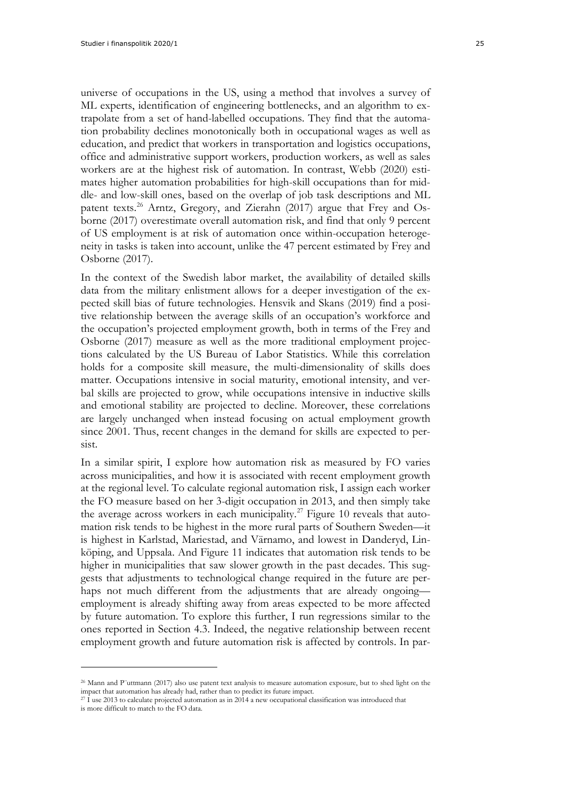universe of occupations in the US, using a method that involves a survey of ML experts, identification of engineering bottlenecks, and an algorithm to extrapolate from a set of hand-labelled occupations. They find that the automation probability declines monotonically both in occupational wages as well as education, and predict that workers in transportation and logistics occupations, office and administrative support workers, production workers, as well as sales workers are at the highest risk of automation. In contrast, Webb (2020) estimates higher automation probabilities for high-skill occupations than for middle- and low-skill ones, based on the overlap of job task descriptions and ML patent texts.<sup>[26](#page-24-0)</sup> Arntz, Gregory, and Zierahn (2017) argue that Frey and Osborne (2017) overestimate overall automation risk, and find that only 9 percent of US employment is at risk of automation once within-occupation heterogeneity in tasks is taken into account, unlike the 47 percent estimated by Frey and Osborne (2017).

In the context of the Swedish labor market, the availability of detailed skills data from the military enlistment allows for a deeper investigation of the expected skill bias of future technologies. Hensvik and Skans (2019) find a positive relationship between the average skills of an occupation's workforce and the occupation's projected employment growth, both in terms of the Frey and Osborne (2017) measure as well as the more traditional employment projections calculated by the US Bureau of Labor Statistics. While this correlation holds for a composite skill measure, the multi-dimensionality of skills does matter. Occupations intensive in social maturity, emotional intensity, and verbal skills are projected to grow, while occupations intensive in inductive skills and emotional stability are projected to decline. Moreover, these correlations are largely unchanged when instead focusing on actual employment growth since 2001. Thus, recent changes in the demand for skills are expected to persist.

In a similar spirit, I explore how automation risk as measured by FO varies across municipalities, and how it is associated with recent employment growth at the regional level. To calculate regional automation risk, I assign each worker the FO measure based on her 3-digit occupation in 2013, and then simply take the average across workers in each municipality.<sup>[27](#page-24-1)</sup> Figure 10 reveals that automation risk tends to be highest in the more rural parts of Southern Sweden—it is highest in Karlstad, Mariestad, and Värnamo, and lowest in Danderyd, Linköping, and Uppsala. And Figure 11 indicates that automation risk tends to be higher in municipalities that saw slower growth in the past decades. This suggests that adjustments to technological change required in the future are perhaps not much different from the adjustments that are already ongoing employment is already shifting away from areas expected to be more affected by future automation. To explore this further, I run regressions similar to the ones reported in Section 4.3. Indeed, the negative relationship between recent employment growth and future automation risk is affected by controls. In par-

<span id="page-24-0"></span><sup>26</sup> Mann and P¨uttmann (2017) also use patent text analysis to measure automation exposure, but to shed light on the impact that automation has already had, rather than to predict its future impact.

<span id="page-24-1"></span> $27$  I use 2013 to calculate projected automation as in 2014 a new occupational classification was introduced that is more difficult to match to the FO data.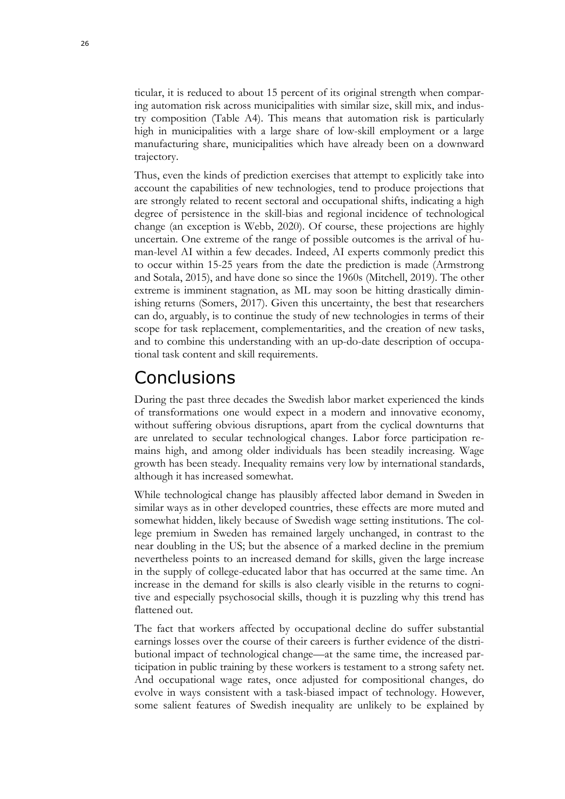ticular, it is reduced to about 15 percent of its original strength when comparing automation risk across municipalities with similar size, skill mix, and industry composition (Table A4). This means that automation risk is particularly high in municipalities with a large share of low-skill employment or a large manufacturing share, municipalities which have already been on a downward trajectory.

Thus, even the kinds of prediction exercises that attempt to explicitly take into account the capabilities of new technologies, tend to produce projections that are strongly related to recent sectoral and occupational shifts, indicating a high degree of persistence in the skill-bias and regional incidence of technological change (an exception is Webb, 2020). Of course, these projections are highly uncertain. One extreme of the range of possible outcomes is the arrival of human-level AI within a few decades. Indeed, AI experts commonly predict this to occur within 15-25 years from the date the prediction is made (Armstrong and Sotala, 2015), and have done so since the 1960s (Mitchell, 2019). The other extreme is imminent stagnation, as ML may soon be hitting drastically diminishing returns (Somers, 2017). Given this uncertainty, the best that researchers can do, arguably, is to continue the study of new technologies in terms of their scope for task replacement, complementarities, and the creation of new tasks, and to combine this understanding with an up-do-date description of occupational task content and skill requirements.

## <span id="page-25-0"></span>**Conclusions**

During the past three decades the Swedish labor market experienced the kinds of transformations one would expect in a modern and innovative economy, without suffering obvious disruptions, apart from the cyclical downturns that are unrelated to secular technological changes. Labor force participation remains high, and among older individuals has been steadily increasing. Wage growth has been steady. Inequality remains very low by international standards, although it has increased somewhat.

While technological change has plausibly affected labor demand in Sweden in similar ways as in other developed countries, these effects are more muted and somewhat hidden, likely because of Swedish wage setting institutions. The college premium in Sweden has remained largely unchanged, in contrast to the near doubling in the US; but the absence of a marked decline in the premium nevertheless points to an increased demand for skills, given the large increase in the supply of college-educated labor that has occurred at the same time. An increase in the demand for skills is also clearly visible in the returns to cognitive and especially psychosocial skills, though it is puzzling why this trend has flattened out.

The fact that workers affected by occupational decline do suffer substantial earnings losses over the course of their careers is further evidence of the distributional impact of technological change—at the same time, the increased participation in public training by these workers is testament to a strong safety net. And occupational wage rates, once adjusted for compositional changes, do evolve in ways consistent with a task-biased impact of technology. However, some salient features of Swedish inequality are unlikely to be explained by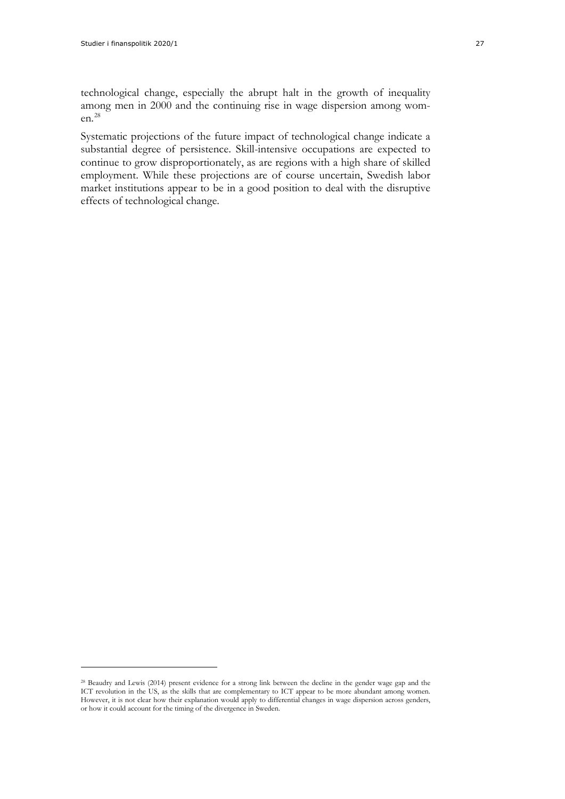technological change, especially the abrupt halt in the growth of inequality among men in 2000 and the continuing rise in wage dispersion among women.[28](#page-26-0)

Systematic projections of the future impact of technological change indicate a substantial degree of persistence. Skill-intensive occupations are expected to continue to grow disproportionately, as are regions with a high share of skilled employment. While these projections are of course uncertain, Swedish labor market institutions appear to be in a good position to deal with the disruptive effects of technological change.

<span id="page-26-0"></span><sup>28</sup> Beaudry and Lewis (2014) present evidence for a strong link between the decline in the gender wage gap and the ICT revolution in the US, as the skills that are complementary to ICT appear to be more abundant among women. However, it is not clear how their explanation would apply to differential changes in wage dispersion across genders, or how it could account for the timing of the divergence in Sweden.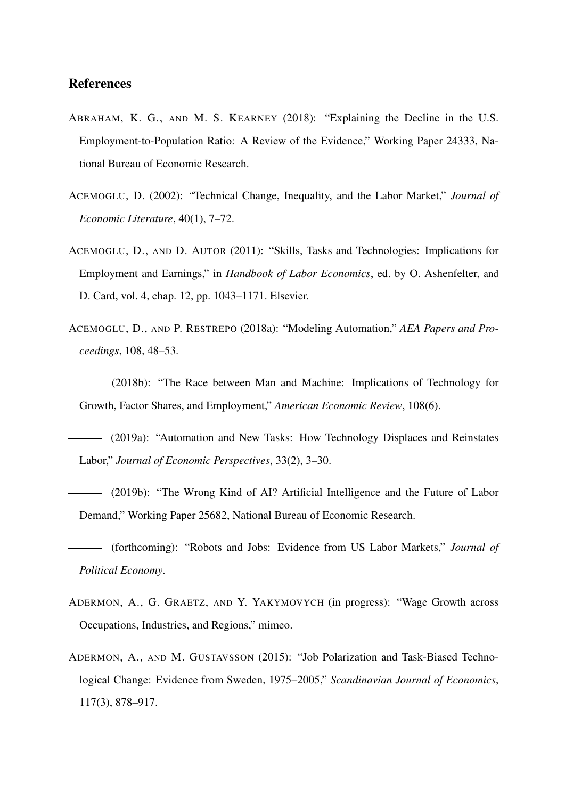#### References

- ABRAHAM, K. G., AND M. S. KEARNEY (2018): "Explaining the Decline in the U.S. Employment-to-Population Ratio: A Review of the Evidence," Working Paper 24333, National Bureau of Economic Research.
- ACEMOGLU, D. (2002): "Technical Change, Inequality, and the Labor Market," *Journal of Economic Literature*, 40(1), 7–72.
- ACEMOGLU, D., AND D. AUTOR (2011): "Skills, Tasks and Technologies: Implications for Employment and Earnings," in *Handbook of Labor Economics*, ed. by O. Ashenfelter, and D. Card, vol. 4, chap. 12, pp. 1043–1171. Elsevier.
- ACEMOGLU, D., AND P. RESTREPO (2018a): "Modeling Automation," *AEA Papers and Proceedings*, 108, 48–53.
- (2018b): "The Race between Man and Machine: Implications of Technology for Growth, Factor Shares, and Employment," *American Economic Review*, 108(6).
- (2019a): "Automation and New Tasks: How Technology Displaces and Reinstates Labor," *Journal of Economic Perspectives*, 33(2), 3–30.
- (2019b): "The Wrong Kind of AI? Artificial Intelligence and the Future of Labor Demand," Working Paper 25682, National Bureau of Economic Research.
- (forthcoming): "Robots and Jobs: Evidence from US Labor Markets," *Journal of Political Economy*.
- ADERMON, A., G. GRAETZ, AND Y. YAKYMOVYCH (in progress): "Wage Growth across Occupations, Industries, and Regions," mimeo.
- ADERMON, A., AND M. GUSTAVSSON (2015): "Job Polarization and Task-Biased Technological Change: Evidence from Sweden, 1975–2005," *Scandinavian Journal of Economics*, 117(3), 878–917.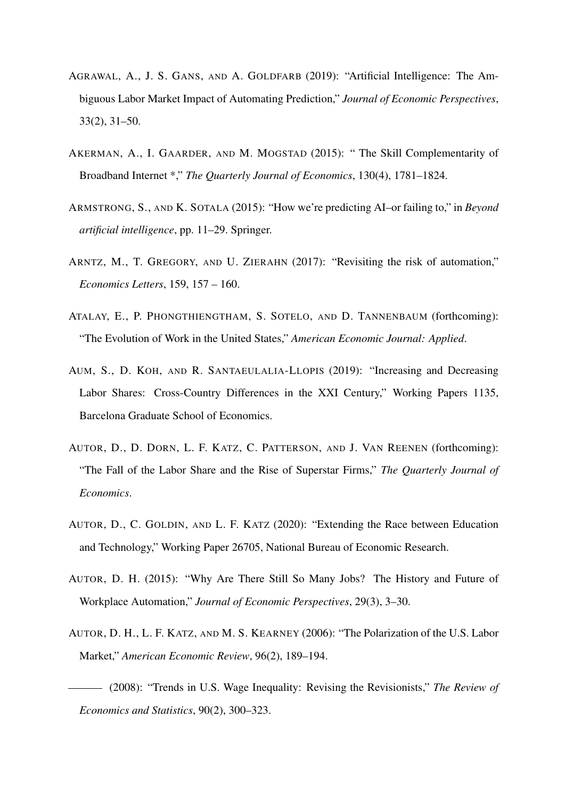- AGRAWAL, A., J. S. GANS, AND A. GOLDFARB (2019): "Artificial Intelligence: The Ambiguous Labor Market Impact of Automating Prediction," *Journal of Economic Perspectives*, 33(2), 31–50.
- AKERMAN, A., I. GAARDER, AND M. MOGSTAD (2015): " The Skill Complementarity of Broadband Internet \*," *The Quarterly Journal of Economics*, 130(4), 1781–1824.
- ARMSTRONG, S., AND K. SOTALA (2015): "How we're predicting AI–or failing to," in *Beyond artificial intelligence*, pp. 11–29. Springer.
- ARNTZ, M., T. GREGORY, AND U. ZIERAHN (2017): "Revisiting the risk of automation," *Economics Letters*, 159, 157 – 160.
- ATALAY, E., P. PHONGTHIENGTHAM, S. SOTELO, AND D. TANNENBAUM (forthcoming): "The Evolution of Work in the United States," *American Economic Journal: Applied*.
- AUM, S., D. KOH, AND R. SANTAEULALIA-LLOPIS (2019): "Increasing and Decreasing Labor Shares: Cross-Country Differences in the XXI Century," Working Papers 1135, Barcelona Graduate School of Economics.
- AUTOR, D., D. DORN, L. F. KATZ, C. PATTERSON, AND J. VAN REENEN (forthcoming): "The Fall of the Labor Share and the Rise of Superstar Firms," *The Quarterly Journal of Economics*.
- AUTOR, D., C. GOLDIN, AND L. F. KATZ (2020): "Extending the Race between Education and Technology," Working Paper 26705, National Bureau of Economic Research.
- AUTOR, D. H. (2015): "Why Are There Still So Many Jobs? The History and Future of Workplace Automation," *Journal of Economic Perspectives*, 29(3), 3–30.
- AUTOR, D. H., L. F. KATZ, AND M. S. KEARNEY (2006): "The Polarization of the U.S. Labor Market," *American Economic Review*, 96(2), 189–194.

(2008): "Trends in U.S. Wage Inequality: Revising the Revisionists," *The Review of Economics and Statistics*, 90(2), 300–323.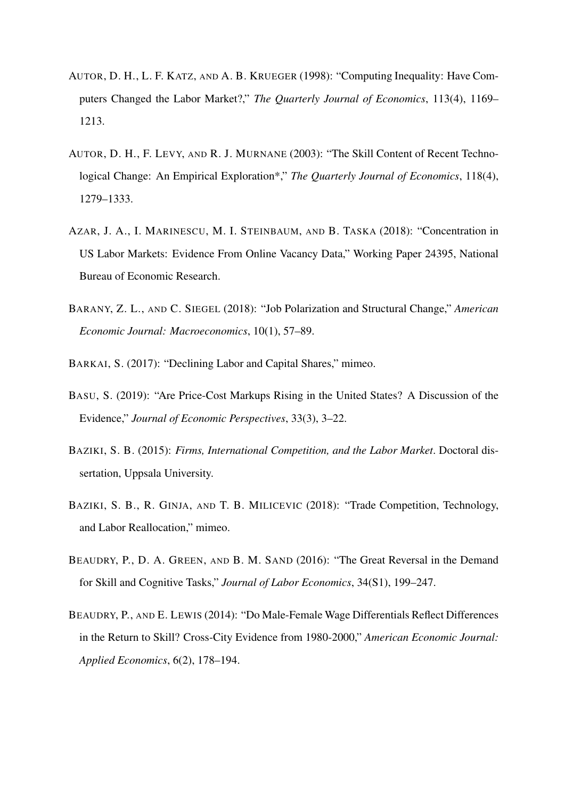- AUTOR, D. H., L. F. KATZ, AND A. B. KRUEGER (1998): "Computing Inequality: Have Computers Changed the Labor Market?," *The Quarterly Journal of Economics*, 113(4), 1169– 1213.
- AUTOR, D. H., F. LEVY, AND R. J. MURNANE (2003): "The Skill Content of Recent Technological Change: An Empirical Exploration\*," *The Quarterly Journal of Economics*, 118(4), 1279–1333.
- AZAR, J. A., I. MARINESCU, M. I. STEINBAUM, AND B. TASKA (2018): "Concentration in US Labor Markets: Evidence From Online Vacancy Data," Working Paper 24395, National Bureau of Economic Research.
- BARANY, Z. L., AND C. SIEGEL (2018): "Job Polarization and Structural Change," *American Economic Journal: Macroeconomics*, 10(1), 57–89.
- BARKAI, S. (2017): "Declining Labor and Capital Shares," mimeo.
- BASU, S. (2019): "Are Price-Cost Markups Rising in the United States? A Discussion of the Evidence," *Journal of Economic Perspectives*, 33(3), 3–22.
- BAZIKI, S. B. (2015): *Firms, International Competition, and the Labor Market*. Doctoral dissertation, Uppsala University.
- BAZIKI, S. B., R. GINJA, AND T. B. MILICEVIC (2018): "Trade Competition, Technology, and Labor Reallocation," mimeo.
- BEAUDRY, P., D. A. GREEN, AND B. M. SAND (2016): "The Great Reversal in the Demand for Skill and Cognitive Tasks," *Journal of Labor Economics*, 34(S1), 199–247.
- BEAUDRY, P., AND E. LEWIS (2014): "Do Male-Female Wage Differentials Reflect Differences in the Return to Skill? Cross-City Evidence from 1980-2000," *American Economic Journal: Applied Economics*, 6(2), 178–194.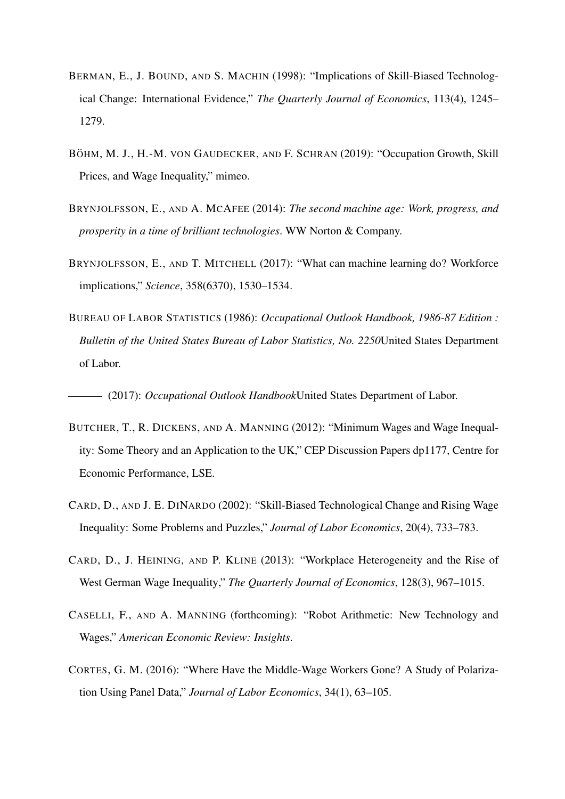- BERMAN, E., J. BOUND, AND S. MACHIN (1998): "Implications of Skill-Biased Technological Change: International Evidence," *The Quarterly Journal of Economics*, 113(4), 1245– 1279.
- BÖHM, M. J., H.-M. VON GAUDECKER, AND F. SCHRAN (2019): "Occupation Growth, Skill Prices, and Wage Inequality," mimeo.
- BRYNJOLFSSON, E., AND A. MCAFEE (2014): *The second machine age: Work, progress, and prosperity in a time of brilliant technologies*. WW Norton & Company.
- BRYNJOLFSSON, E., AND T. MITCHELL (2017): "What can machine learning do? Workforce implications," *Science*, 358(6370), 1530–1534.
- BUREAU OF LABOR STATISTICS (1986): *Occupational Outlook Handbook, 1986-87 Edition : Bulletin of the United States Bureau of Labor Statistics, No. 2250*United States Department of Labor.

(2017): *Occupational Outlook Handbook*United States Department of Labor.

- BUTCHER, T., R. DICKENS, AND A. MANNING (2012): "Minimum Wages and Wage Inequality: Some Theory and an Application to the UK," CEP Discussion Papers dp1177, Centre for Economic Performance, LSE.
- CARD, D., AND J. E. DINARDO (2002): "Skill-Biased Technological Change and Rising Wage Inequality: Some Problems and Puzzles," *Journal of Labor Economics*, 20(4), 733–783.
- CARD, D., J. HEINING, AND P. KLINE (2013): "Workplace Heterogeneity and the Rise of West German Wage Inequality," *The Quarterly Journal of Economics*, 128(3), 967–1015.
- CASELLI, F., AND A. MANNING (forthcoming): "Robot Arithmetic: New Technology and Wages," *American Economic Review: Insights*.
- CORTES, G. M. (2016): "Where Have the Middle-Wage Workers Gone? A Study of Polarization Using Panel Data," *Journal of Labor Economics*, 34(1), 63–105.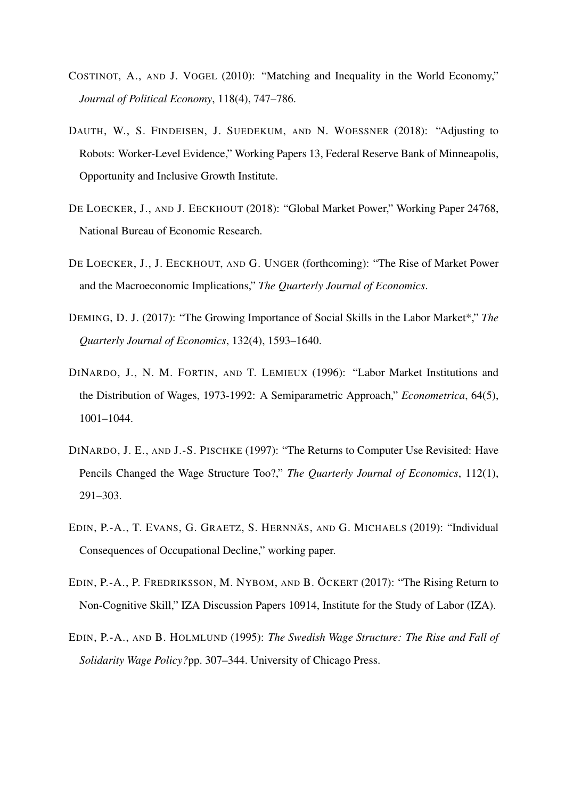- COSTINOT, A., AND J. VOGEL (2010): "Matching and Inequality in the World Economy," *Journal of Political Economy*, 118(4), 747–786.
- DAUTH, W., S. FINDEISEN, J. SUEDEKUM, AND N. WOESSNER (2018): "Adjusting to Robots: Worker-Level Evidence," Working Papers 13, Federal Reserve Bank of Minneapolis, Opportunity and Inclusive Growth Institute.
- DE LOECKER, J., AND J. EECKHOUT (2018): "Global Market Power," Working Paper 24768, National Bureau of Economic Research.
- DE LOECKER, J., J. EECKHOUT, AND G. UNGER (forthcoming): "The Rise of Market Power and the Macroeconomic Implications," *The Quarterly Journal of Economics*.
- DEMING, D. J. (2017): "The Growing Importance of Social Skills in the Labor Market\*," *The Quarterly Journal of Economics*, 132(4), 1593–1640.
- DINARDO, J., N. M. FORTIN, AND T. LEMIEUX (1996): "Labor Market Institutions and the Distribution of Wages, 1973-1992: A Semiparametric Approach," *Econometrica*, 64(5), 1001–1044.
- DINARDO, J. E., AND J.-S. PISCHKE (1997): "The Returns to Computer Use Revisited: Have Pencils Changed the Wage Structure Too?," *The Quarterly Journal of Economics*, 112(1), 291–303.
- EDIN, P.-A., T. EVANS, G. GRAETZ, S. HERNNÄS, AND G. MICHAELS (2019): "Individual Consequences of Occupational Decline," working paper.
- EDIN, P.-A., P. FREDRIKSSON, M. NYBOM, AND B. ÖCKERT (2017): "The Rising Return to Non-Cognitive Skill," IZA Discussion Papers 10914, Institute for the Study of Labor (IZA).
- EDIN, P.-A., AND B. HOLMLUND (1995): *The Swedish Wage Structure: The Rise and Fall of Solidarity Wage Policy?*pp. 307–344. University of Chicago Press.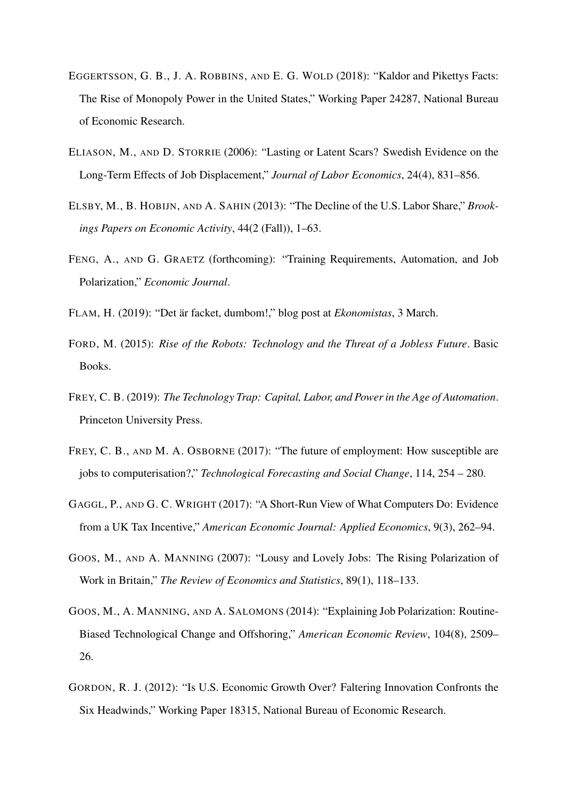- EGGERTSSON, G. B., J. A. ROBBINS, AND E. G. WOLD (2018): "Kaldor and Pikettys Facts: The Rise of Monopoly Power in the United States," Working Paper 24287, National Bureau of Economic Research.
- ELIASON, M., AND D. STORRIE (2006): "Lasting or Latent Scars? Swedish Evidence on the Long-Term Effects of Job Displacement," *Journal of Labor Economics*, 24(4), 831–856.
- ELSBY, M., B. HOBIJN, AND A. SAHIN (2013): "The Decline of the U.S. Labor Share," *Brookings Papers on Economic Activity*, 44(2 (Fall)), 1–63.
- FENG, A., AND G. GRAETZ (forthcoming): "Training Requirements, Automation, and Job Polarization," *Economic Journal*.
- FLAM, H. (2019): "Det är facket, dumbom!," blog post at *Ekonomistas*, 3 March.
- FORD, M. (2015): *Rise of the Robots: Technology and the Threat of a Jobless Future*. Basic Books.
- FREY, C. B. (2019): *The Technology Trap: Capital, Labor, and Power in the Age of Automation*. Princeton University Press.
- FREY, C. B., AND M. A. OSBORNE (2017): "The future of employment: How susceptible are jobs to computerisation?," *Technological Forecasting and Social Change*, 114, 254 – 280.
- GAGGL, P., AND G. C. WRIGHT (2017): "A Short-Run View of What Computers Do: Evidence from a UK Tax Incentive," *American Economic Journal: Applied Economics*, 9(3), 262–94.
- GOOS, M., AND A. MANNING (2007): "Lousy and Lovely Jobs: The Rising Polarization of Work in Britain," *The Review of Economics and Statistics*, 89(1), 118–133.
- GOOS, M., A. MANNING, AND A. SALOMONS (2014): "Explaining Job Polarization: Routine-Biased Technological Change and Offshoring," *American Economic Review*, 104(8), 2509– 26.
- GORDON, R. J. (2012): "Is U.S. Economic Growth Over? Faltering Innovation Confronts the Six Headwinds," Working Paper 18315, National Bureau of Economic Research.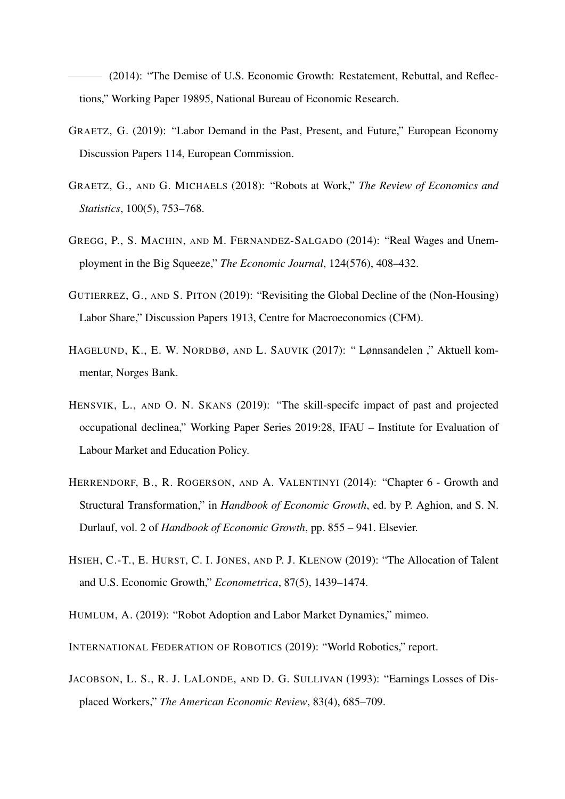(2014): "The Demise of U.S. Economic Growth: Restatement, Rebuttal, and Reflections," Working Paper 19895, National Bureau of Economic Research.

- GRAETZ, G. (2019): "Labor Demand in the Past, Present, and Future," European Economy Discussion Papers 114, European Commission.
- GRAETZ, G., AND G. MICHAELS (2018): "Robots at Work," *The Review of Economics and Statistics*, 100(5), 753–768.
- GREGG, P., S. MACHIN, AND M. FERNANDEZ-SALGADO (2014): "Real Wages and Unemployment in the Big Squeeze," *The Economic Journal*, 124(576), 408–432.
- GUTIERREZ, G., AND S. PITON (2019): "Revisiting the Global Decline of the (Non-Housing) Labor Share," Discussion Papers 1913, Centre for Macroeconomics (CFM).
- HAGELUND, K., E. W. NORDBØ, AND L. SAUVIK (2017): " Lønnsandelen ," Aktuell kommentar, Norges Bank.
- HENSVIK, L., AND O. N. SKANS (2019): "The skill-specifc impact of past and projected occupational declinea," Working Paper Series 2019:28, IFAU – Institute for Evaluation of Labour Market and Education Policy.
- HERRENDORF, B., R. ROGERSON, AND A. VALENTINYI (2014): "Chapter 6 Growth and Structural Transformation," in *Handbook of Economic Growth*, ed. by P. Aghion, and S. N. Durlauf, vol. 2 of *Handbook of Economic Growth*, pp. 855 – 941. Elsevier.
- HSIEH, C.-T., E. HURST, C. I. JONES, AND P. J. KLENOW (2019): "The Allocation of Talent and U.S. Economic Growth," *Econometrica*, 87(5), 1439–1474.
- HUMLUM, A. (2019): "Robot Adoption and Labor Market Dynamics," mimeo.
- INTERNATIONAL FEDERATION OF ROBOTICS (2019): "World Robotics," report.
- JACOBSON, L. S., R. J. LALONDE, AND D. G. SULLIVAN (1993): "Earnings Losses of Displaced Workers," *The American Economic Review*, 83(4), 685–709.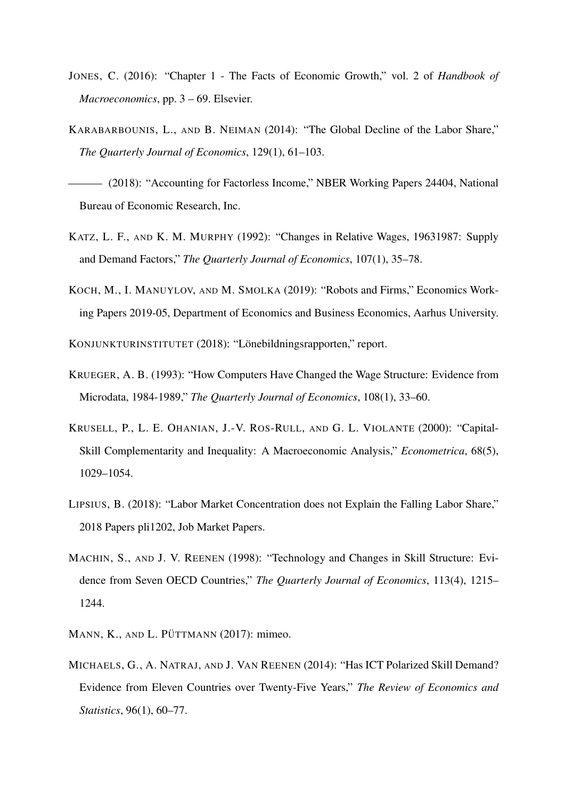- JONES, C. (2016): "Chapter 1 The Facts of Economic Growth," vol. 2 of *Handbook of Macroeconomics*, pp. 3 – 69. Elsevier.
- KARABARBOUNIS, L., AND B. NEIMAN (2014): "The Global Decline of the Labor Share," *The Quarterly Journal of Economics*, 129(1), 61–103.
- (2018): "Accounting for Factorless Income," NBER Working Papers 24404, National Bureau of Economic Research, Inc.
- KATZ, L. F., AND K. M. MURPHY (1992): "Changes in Relative Wages, 19631987: Supply and Demand Factors," *The Quarterly Journal of Economics*, 107(1), 35–78.
- KOCH, M., I. MANUYLOV, AND M. SMOLKA (2019): "Robots and Firms," Economics Working Papers 2019-05, Department of Economics and Business Economics, Aarhus University.

KONJUNKTURINSTITUTET (2018): "Lönebildningsrapporten," report.

- KRUEGER, A. B. (1993): "How Computers Have Changed the Wage Structure: Evidence from Microdata, 1984-1989," *The Quarterly Journal of Economics*, 108(1), 33–60.
- KRUSELL, P., L. E. OHANIAN, J.-V. ROS-RULL, AND G. L. VIOLANTE (2000): "Capital-Skill Complementarity and Inequality: A Macroeconomic Analysis," *Econometrica*, 68(5), 1029–1054.
- LIPSIUS, B. (2018): "Labor Market Concentration does not Explain the Falling Labor Share," 2018 Papers pli1202, Job Market Papers.
- MACHIN, S., AND J. V. REENEN (1998): "Technology and Changes in Skill Structure: Evidence from Seven OECD Countries," *The Quarterly Journal of Economics*, 113(4), 1215– 1244.
- MANN, K., AND L. PÜTTMANN (2017): mimeo.
- MICHAELS, G., A. NATRAJ, AND J. VAN REENEN (2014): "Has ICT Polarized Skill Demand? Evidence from Eleven Countries over Twenty-Five Years," *The Review of Economics and Statistics*, 96(1), 60–77.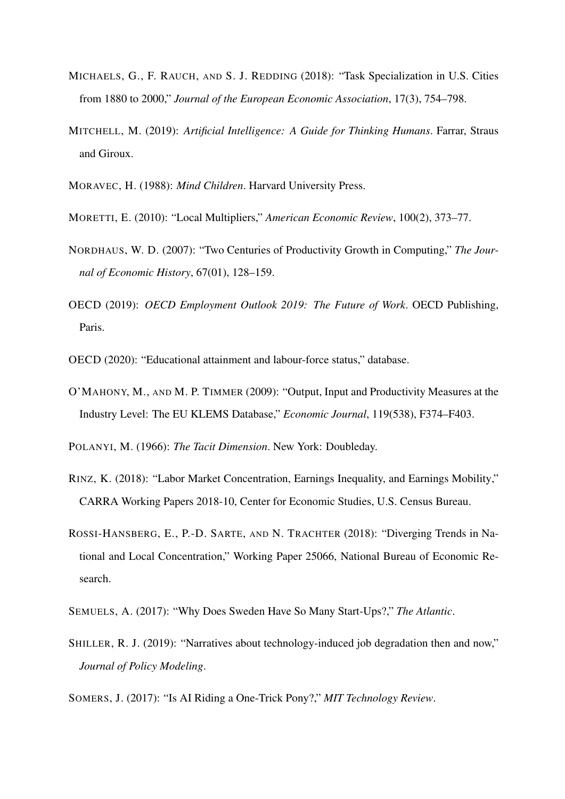- MICHAELS, G., F. RAUCH, AND S. J. REDDING (2018): "Task Specialization in U.S. Cities from 1880 to 2000," *Journal of the European Economic Association*, 17(3), 754–798.
- MITCHELL, M. (2019): *Artificial Intelligence: A Guide for Thinking Humans*. Farrar, Straus and Giroux.
- MORAVEC, H. (1988): *Mind Children*. Harvard University Press.
- MORETTI, E. (2010): "Local Multipliers," *American Economic Review*, 100(2), 373–77.
- NORDHAUS, W. D. (2007): "Two Centuries of Productivity Growth in Computing," *The Journal of Economic History*, 67(01), 128–159.
- OECD (2019): *OECD Employment Outlook 2019: The Future of Work*. OECD Publishing, Paris.
- OECD (2020): "Educational attainment and labour-force status," database.
- O'MAHONY, M., AND M. P. TIMMER (2009): "Output, Input and Productivity Measures at the Industry Level: The EU KLEMS Database," *Economic Journal*, 119(538), F374–F403.

POLANYI, M. (1966): *The Tacit Dimension*. New York: Doubleday.

- RINZ, K. (2018): "Labor Market Concentration, Earnings Inequality, and Earnings Mobility," CARRA Working Papers 2018-10, Center for Economic Studies, U.S. Census Bureau.
- ROSSI-HANSBERG, E., P.-D. SARTE, AND N. TRACHTER (2018): "Diverging Trends in National and Local Concentration," Working Paper 25066, National Bureau of Economic Research.
- SEMUELS, A. (2017): "Why Does Sweden Have So Many Start-Ups?," *The Atlantic*.
- SHILLER, R. J. (2019): "Narratives about technology-induced job degradation then and now," *Journal of Policy Modeling*.
- SOMERS, J. (2017): "Is AI Riding a One-Trick Pony?," *MIT Technology Review*.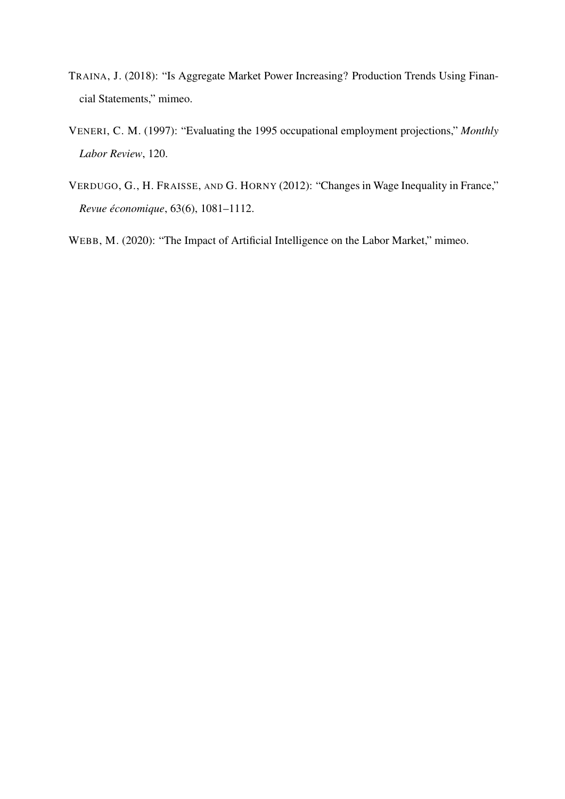- TRAINA, J. (2018): "Is Aggregate Market Power Increasing? Production Trends Using Financial Statements," mimeo.
- VENERI, C. M. (1997): "Evaluating the 1995 occupational employment projections," *Monthly Labor Review*, 120.
- VERDUGO, G., H. FRAISSE, AND G. HORNY (2012): "Changes in Wage Inequality in France," *Revue economique ´* , 63(6), 1081–1112.

WEBB, M. (2020): "The Impact of Artificial Intelligence on the Labor Market," mimeo.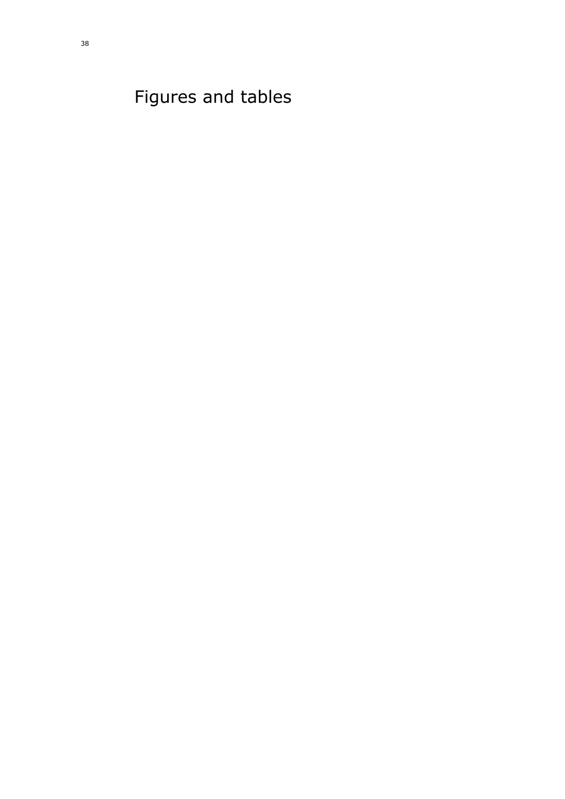<span id="page-37-0"></span>Figures and tables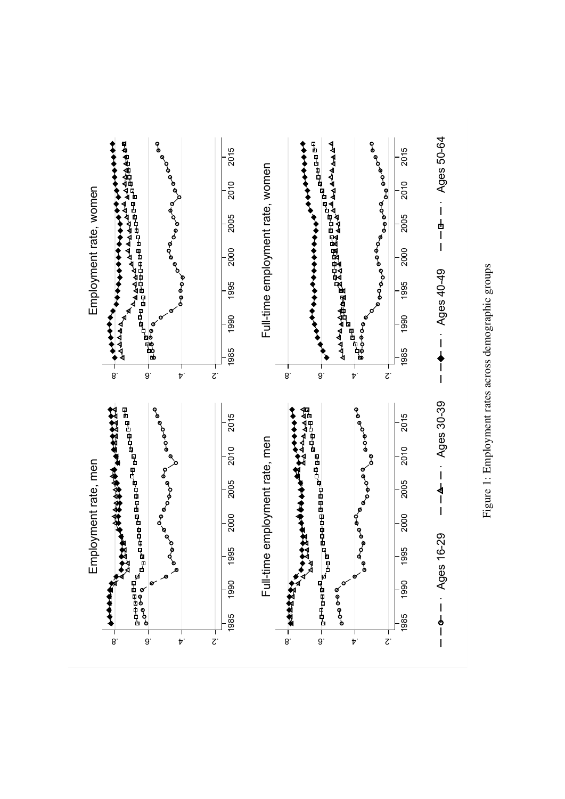

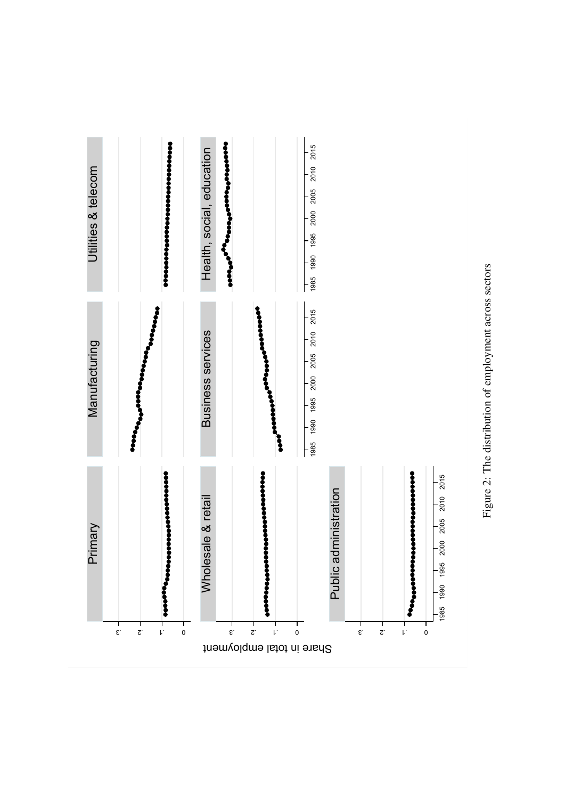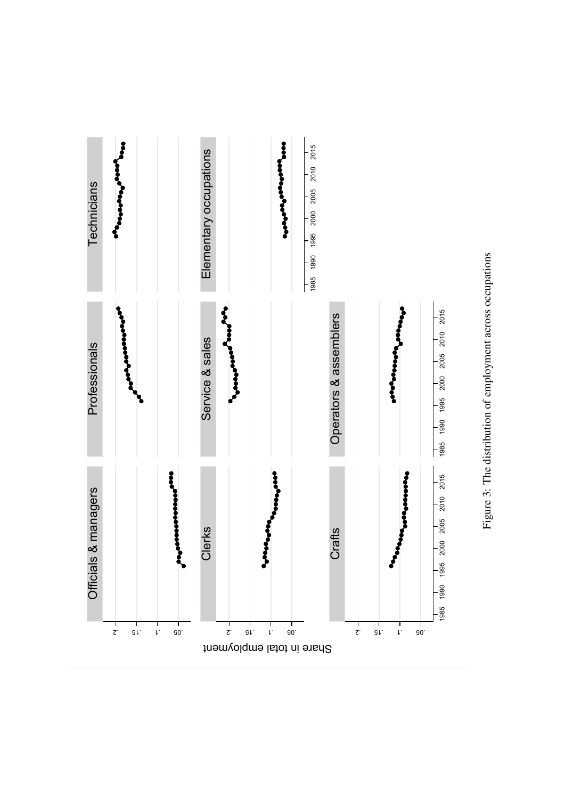

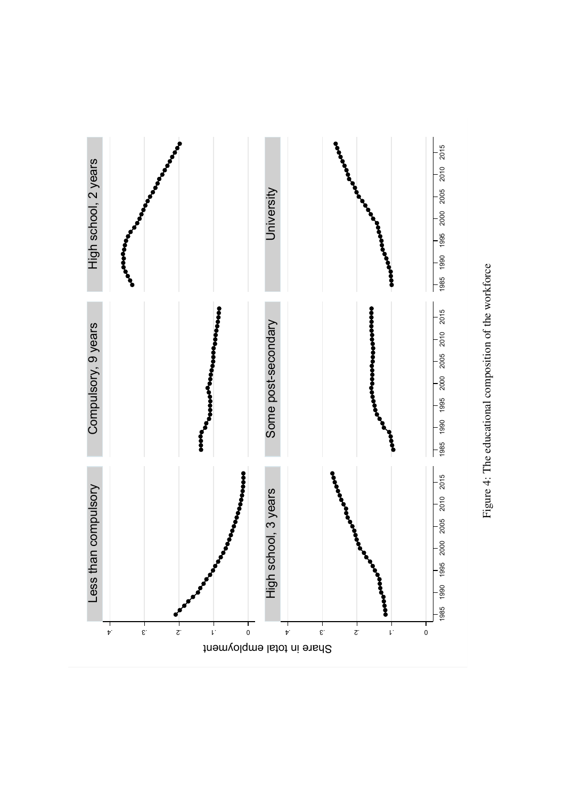

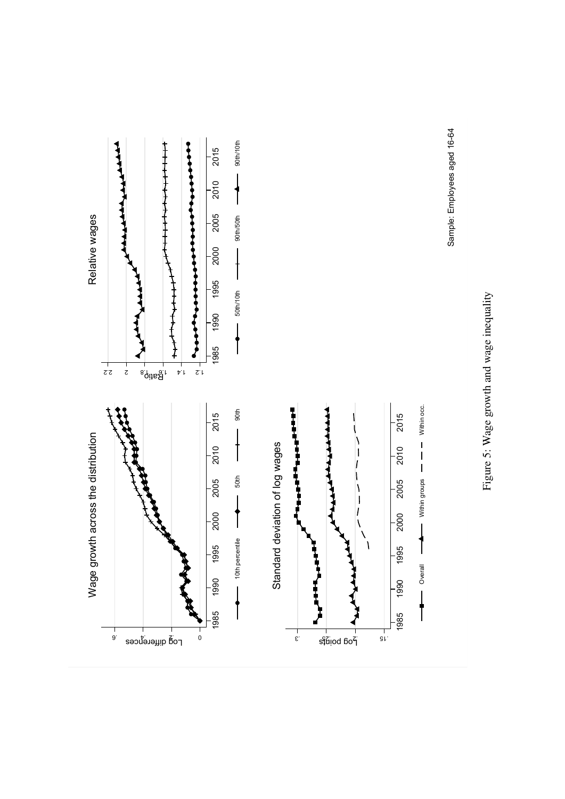



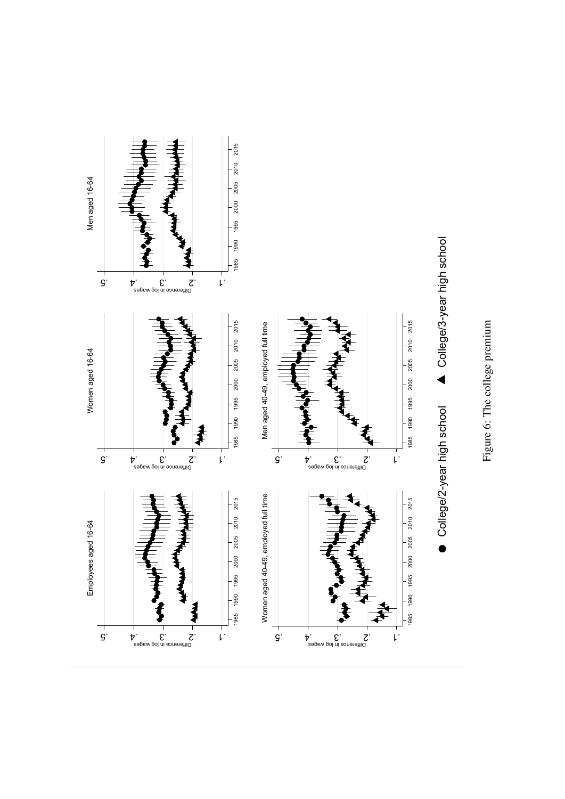

Figure 6: The college premium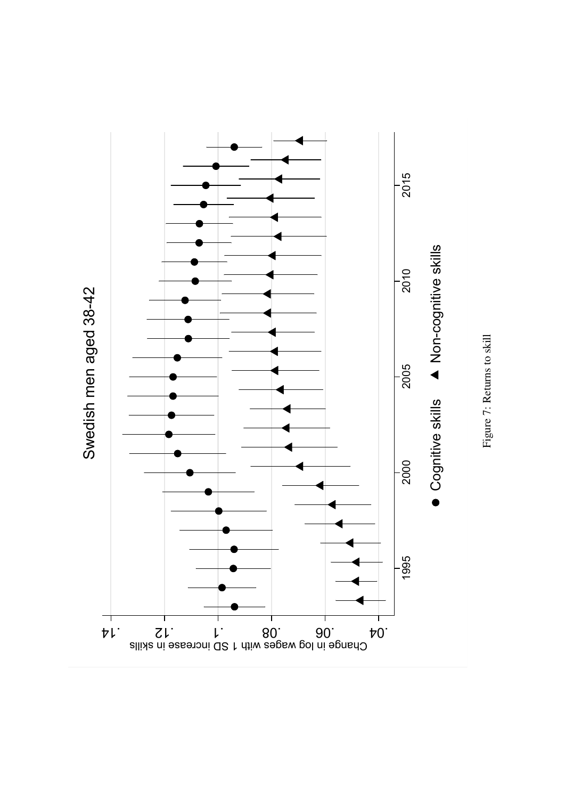

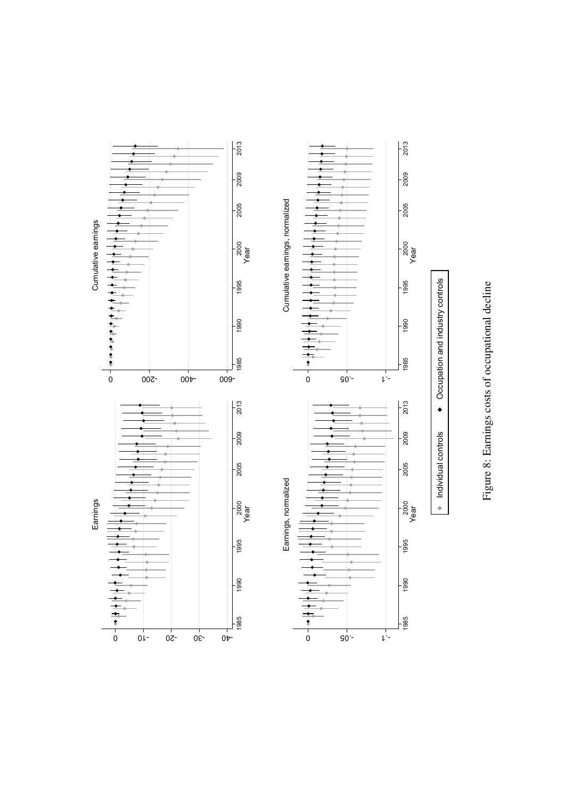

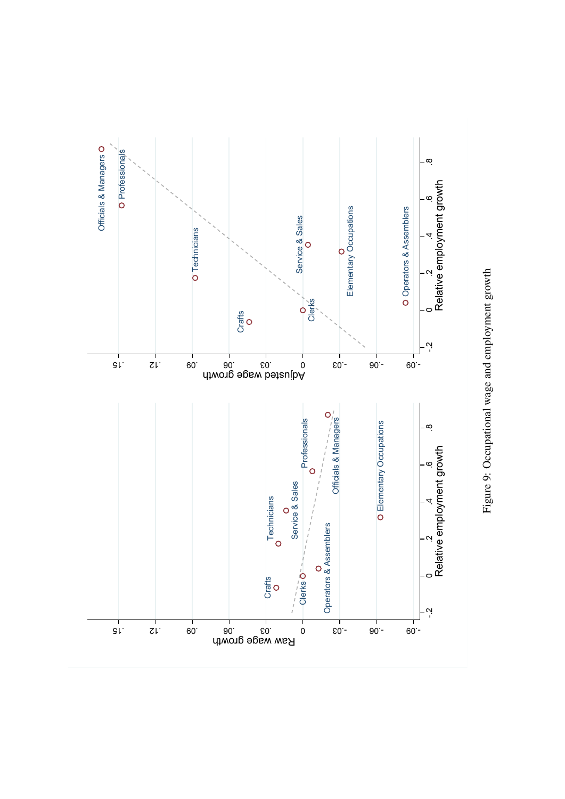

Figure 9: Occupational wage and employment growth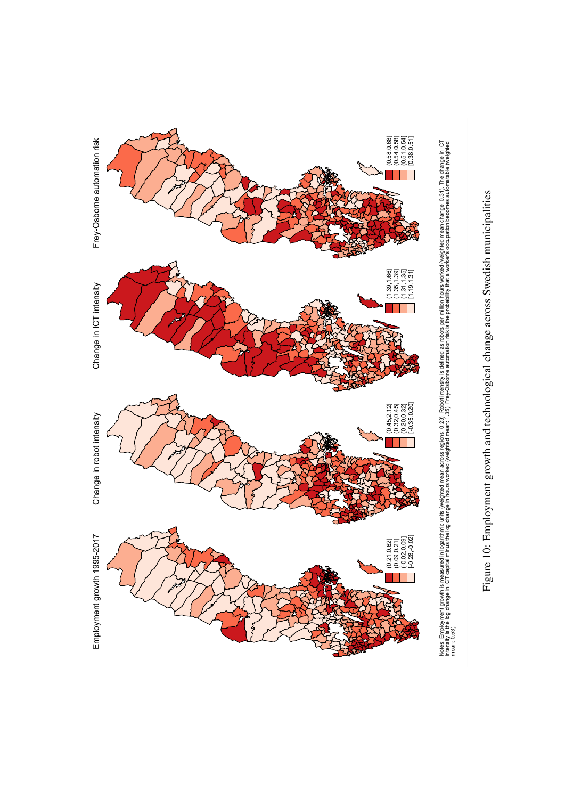

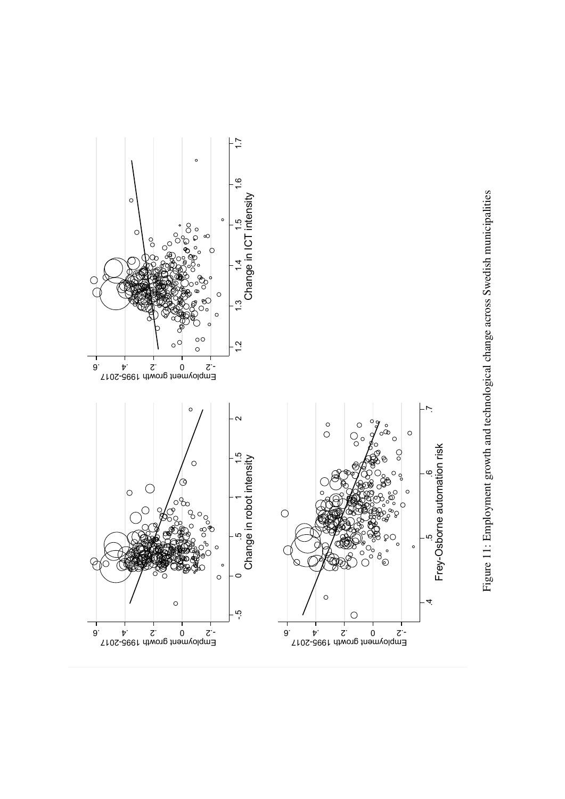

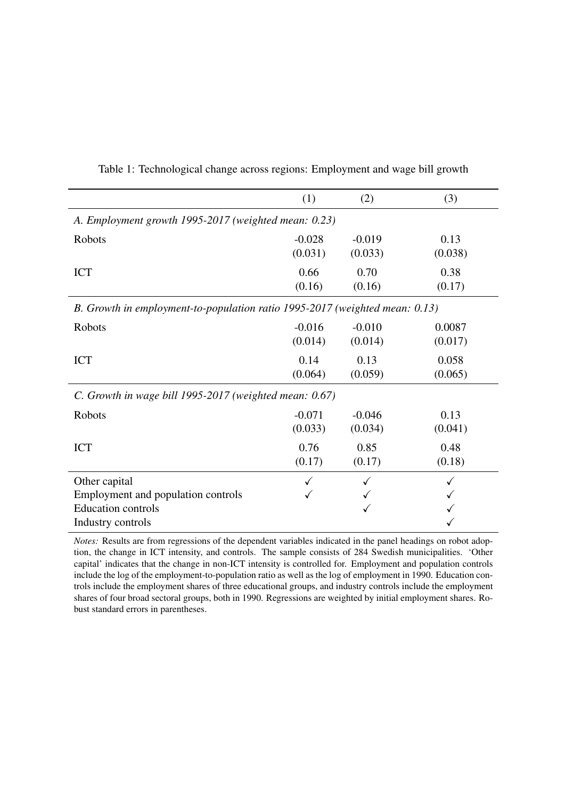|                                                                             | (1)      | (2)      | (3)     |  |  |
|-----------------------------------------------------------------------------|----------|----------|---------|--|--|
| A. Employment growth 1995-2017 (weighted mean: 0.23)                        |          |          |         |  |  |
| Robots                                                                      | $-0.028$ | $-0.019$ | 0.13    |  |  |
|                                                                             | (0.031)  | (0.033)  | (0.038) |  |  |
| <b>ICT</b>                                                                  | 0.66     | 0.70     | 0.38    |  |  |
|                                                                             | (0.16)   | (0.16)   | (0.17)  |  |  |
| B. Growth in employment-to-population ratio 1995-2017 (weighted mean: 0.13) |          |          |         |  |  |
| Robots                                                                      | $-0.016$ | $-0.010$ | 0.0087  |  |  |
|                                                                             | (0.014)  | (0.014)  | (0.017) |  |  |
| <b>ICT</b>                                                                  | 0.14     | 0.13     | 0.058   |  |  |
|                                                                             | (0.064)  | (0.059)  | (0.065) |  |  |
| C. Growth in wage bill 1995-2017 (weighted mean: 0.67)                      |          |          |         |  |  |
| Robots                                                                      | $-0.071$ | $-0.046$ | 0.13    |  |  |
|                                                                             | (0.033)  | (0.034)  | (0.041) |  |  |
| <b>ICT</b>                                                                  | 0.76     | 0.85     | 0.48    |  |  |
|                                                                             | (0.17)   | (0.17)   | (0.18)  |  |  |
| Other capital                                                               |          |          |         |  |  |
| Employment and population controls                                          |          |          |         |  |  |
| <b>Education controls</b>                                                   |          |          |         |  |  |
| Industry controls                                                           |          |          |         |  |  |

Table 1: Technological change across regions: Employment and wage bill growth

*Notes:* Results are from regressions of the dependent variables indicated in the panel headings on robot adoption, the change in ICT intensity, and controls. The sample consists of 284 Swedish municipalities. 'Other capital' indicates that the change in non-ICT intensity is controlled for. Employment and population controls include the log of the employment-to-population ratio as well as the log of employment in 1990. Education controls include the employment shares of three educational groups, and industry controls include the employment shares of four broad sectoral groups, both in 1990. Regressions are weighted by initial employment shares. Robust standard errors in parentheses.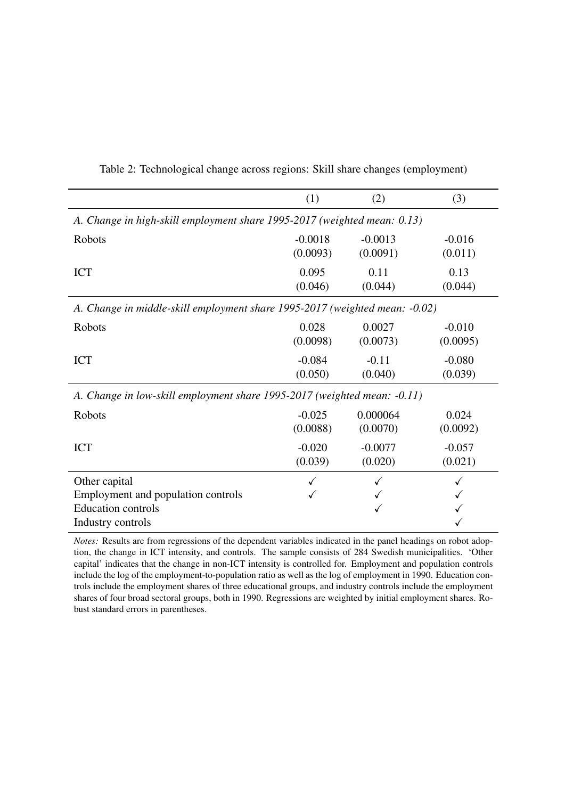|                                                                                                       | (1)       | (2)       | (3)      |  |
|-------------------------------------------------------------------------------------------------------|-----------|-----------|----------|--|
| A. Change in high-skill employment share 1995-2017 (weighted mean: 0.13)                              |           |           |          |  |
| Robots                                                                                                | $-0.0018$ | $-0.0013$ | $-0.016$ |  |
|                                                                                                       | (0.0093)  | (0.0091)  | (0.011)  |  |
| <b>ICT</b>                                                                                            | 0.095     | 0.11      | 0.13     |  |
|                                                                                                       | (0.046)   | (0.044)   | (0.044)  |  |
| A. Change in middle-skill employment share 1995-2017 (weighted mean: -0.02)                           |           |           |          |  |
| Robots                                                                                                | 0.028     | 0.0027    | $-0.010$ |  |
|                                                                                                       | (0.0098)  | (0.0073)  | (0.0095) |  |
| <b>ICT</b>                                                                                            | $-0.084$  | $-0.11$   | $-0.080$ |  |
|                                                                                                       | (0.050)   | (0.040)   | (0.039)  |  |
| A. Change in low-skill employment share 1995-2017 (weighted mean: -0.11)                              |           |           |          |  |
| <b>Robots</b>                                                                                         | $-0.025$  | 0.000064  | 0.024    |  |
|                                                                                                       | (0.0088)  | (0.0070)  | (0.0092) |  |
| <b>ICT</b>                                                                                            | $-0.020$  | $-0.0077$ | $-0.057$ |  |
|                                                                                                       | (0.039)   | (0.020)   | (0.021)  |  |
| Other capital<br>Employment and population controls<br><b>Education controls</b><br>Industry controls |           |           |          |  |

Table 2: Technological change across regions: Skill share changes (employment)

*Notes:* Results are from regressions of the dependent variables indicated in the panel headings on robot adoption, the change in ICT intensity, and controls. The sample consists of 284 Swedish municipalities. 'Other capital' indicates that the change in non-ICT intensity is controlled for. Employment and population controls include the log of the employment-to-population ratio as well as the log of employment in 1990. Education controls include the employment shares of three educational groups, and industry controls include the employment shares of four broad sectoral groups, both in 1990. Regressions are weighted by initial employment shares. Robust standard errors in parentheses.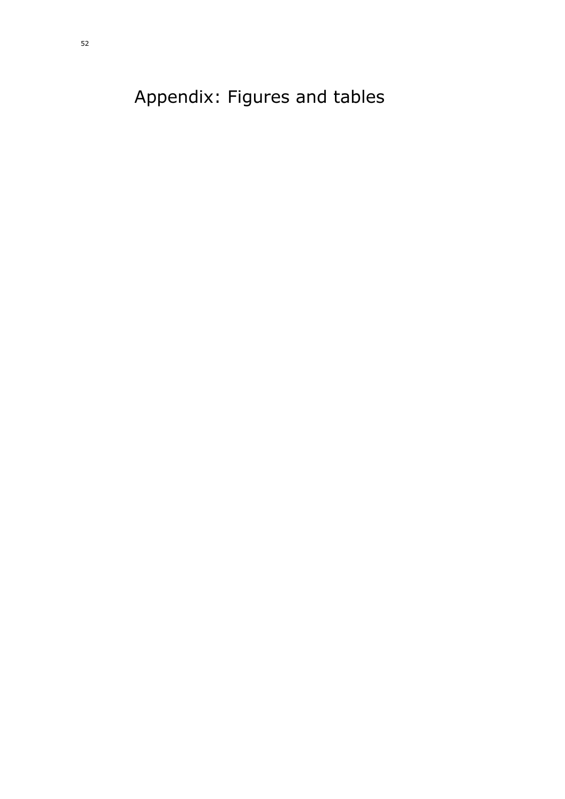<span id="page-51-0"></span>Appendix: Figures and tables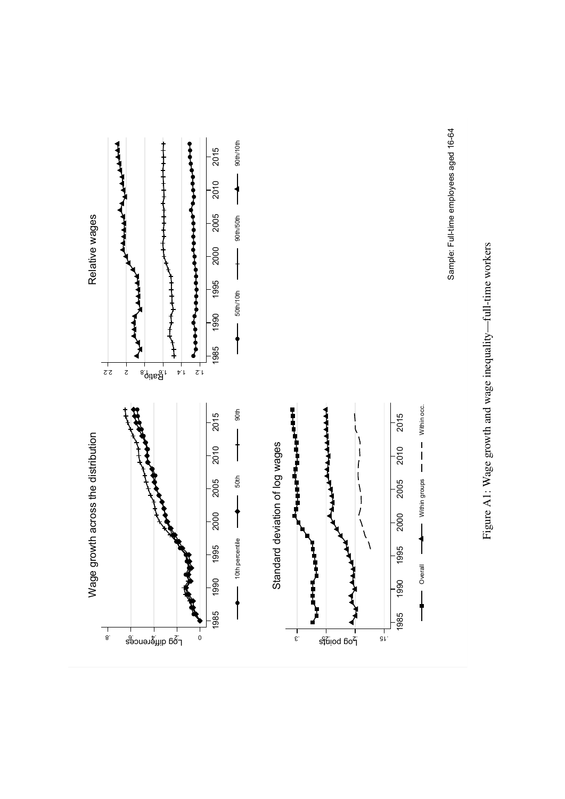



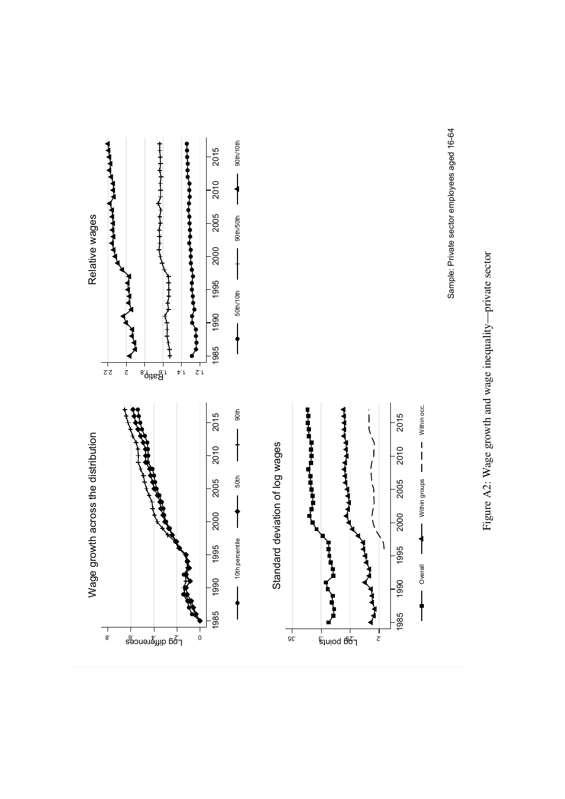



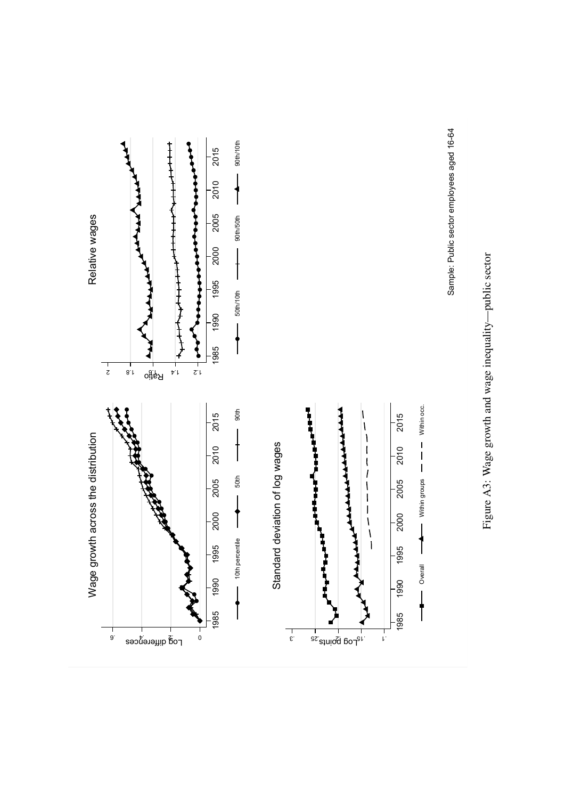



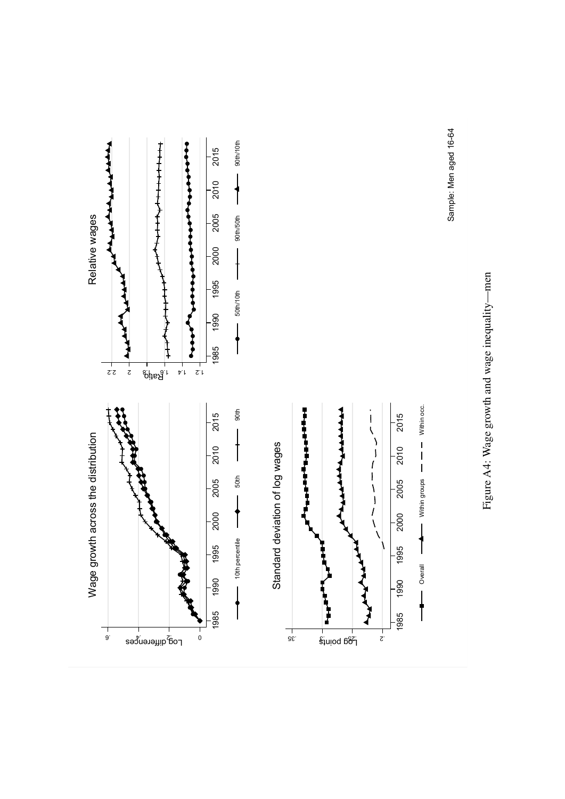



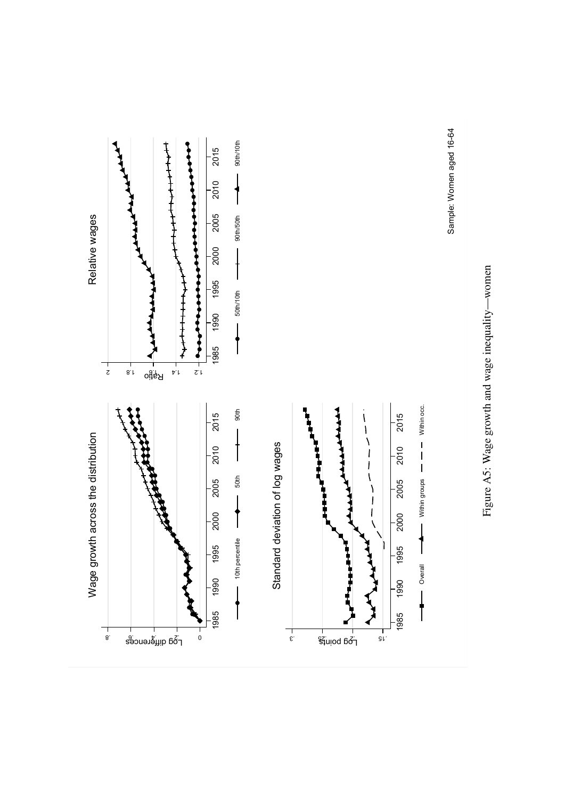



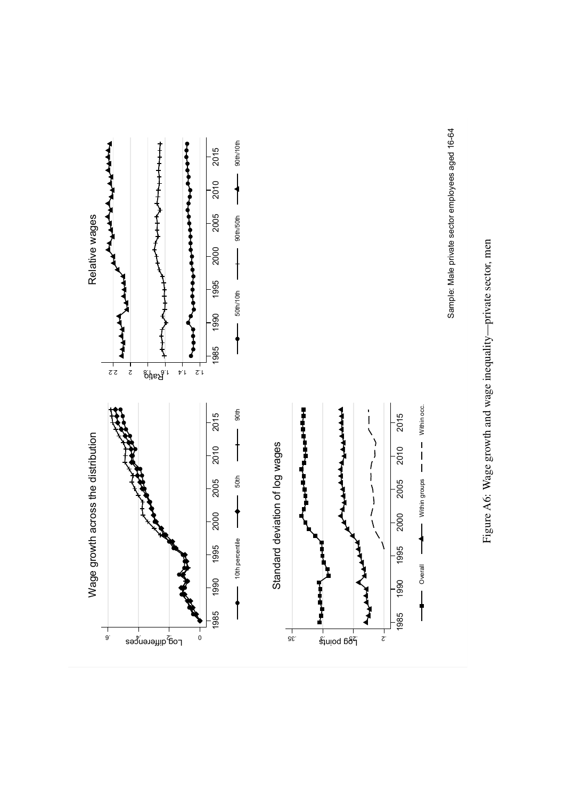



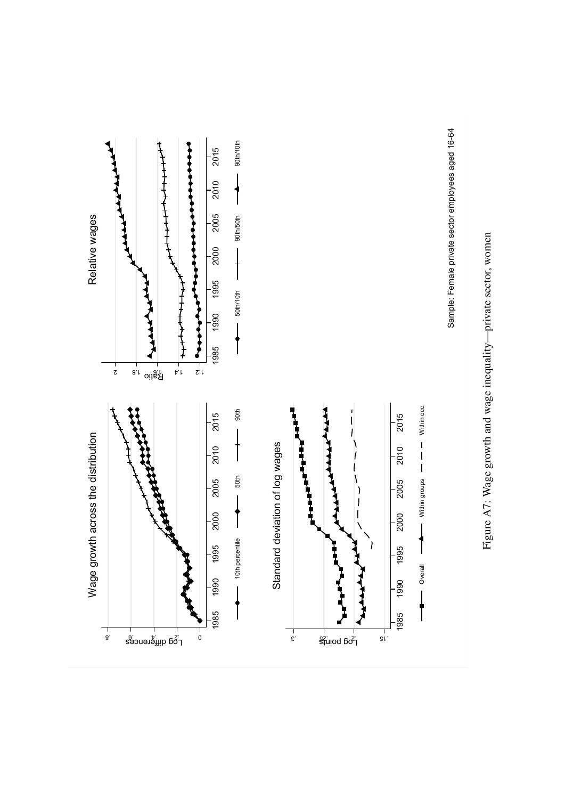



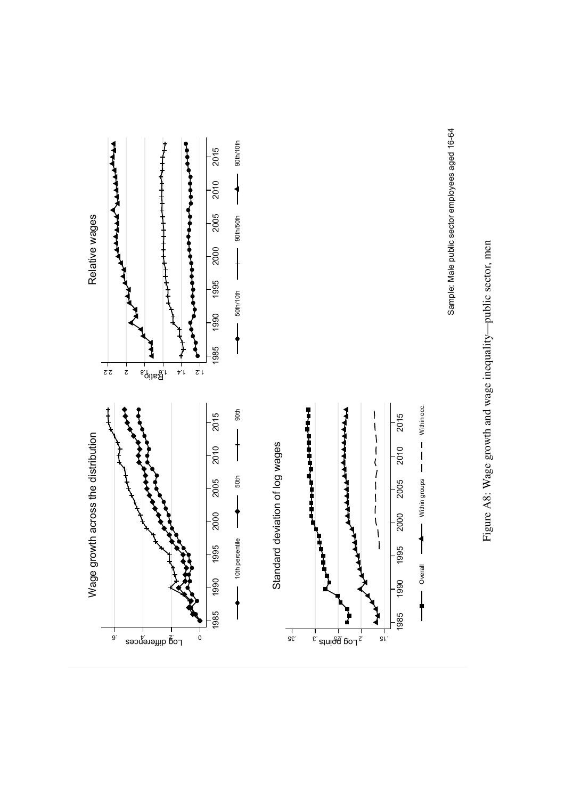



Sample: Male public sector employees aged 16-64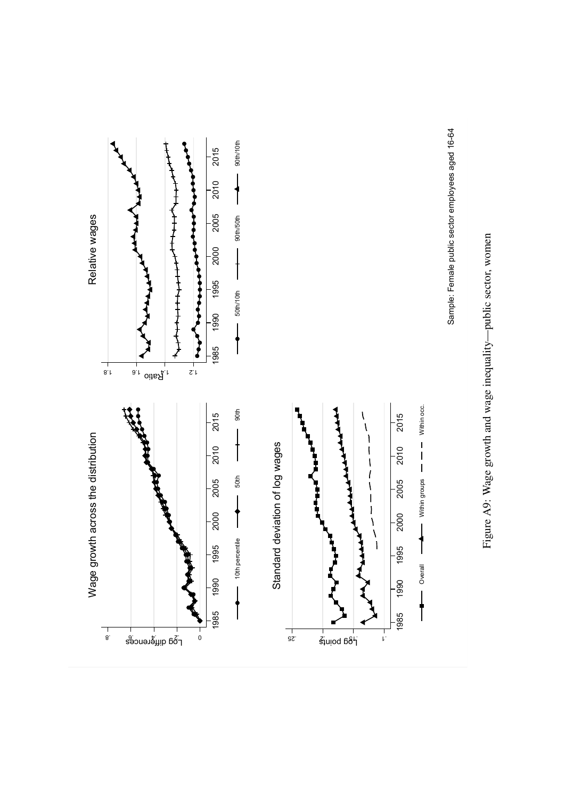



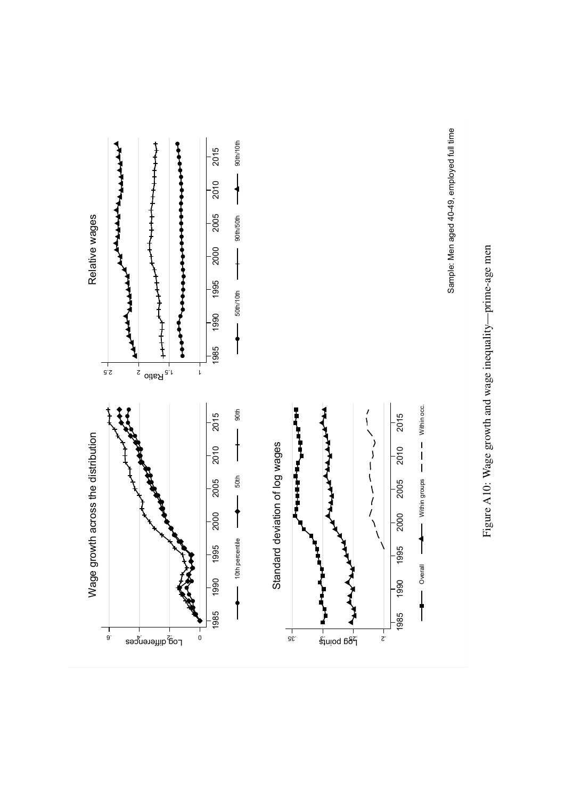



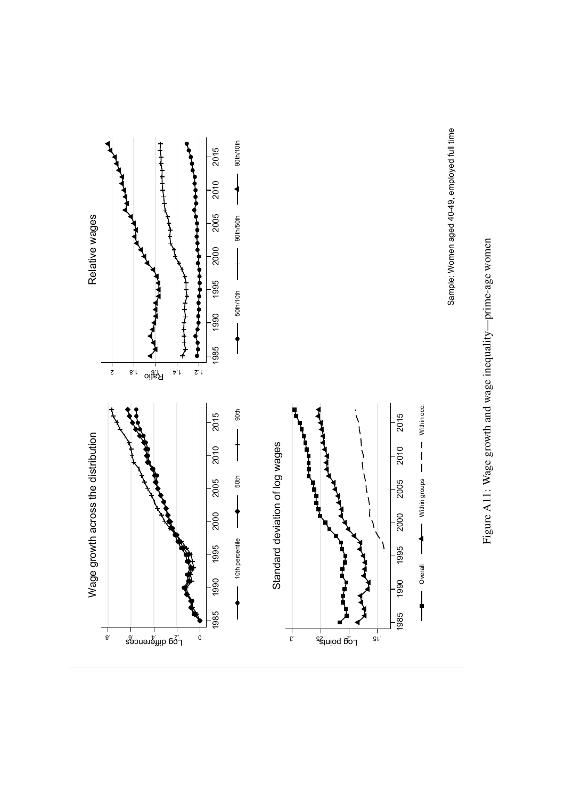



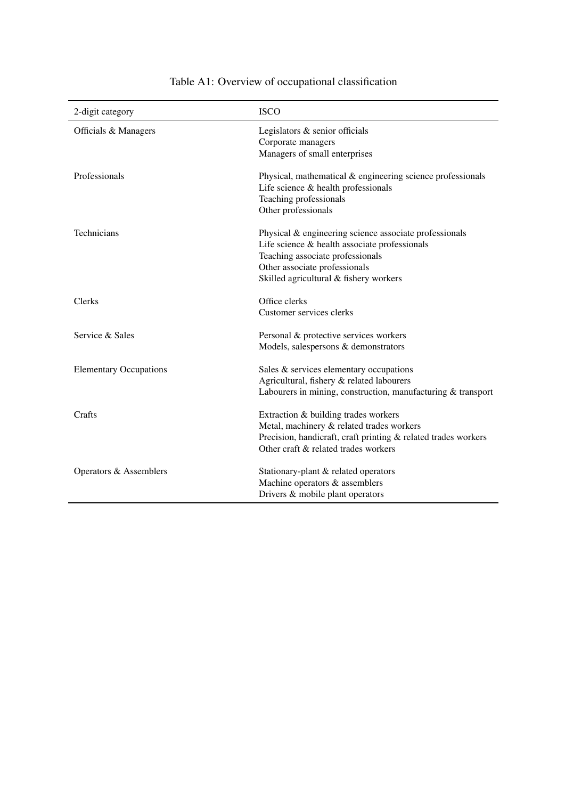| 2-digit category              | <b>ISCO</b>                                                                                                                                                                                                              |
|-------------------------------|--------------------------------------------------------------------------------------------------------------------------------------------------------------------------------------------------------------------------|
| Officials & Managers          | Legislators & senior officials<br>Corporate managers<br>Managers of small enterprises                                                                                                                                    |
| Professionals                 | Physical, mathematical & engineering science professionals<br>Life science $&$ health professionals<br>Teaching professionals<br>Other professionals                                                                     |
| Technicians                   | Physical & engineering science associate professionals<br>Life science $&$ health associate professionals<br>Teaching associate professionals<br>Other associate professionals<br>Skilled agricultural & fishery workers |
| Clerks                        | Office clerks<br>Customer services clerks                                                                                                                                                                                |
| Service & Sales               | Personal & protective services workers<br>Models, salespersons & demonstrators                                                                                                                                           |
| <b>Elementary Occupations</b> | Sales & services elementary occupations<br>Agricultural, fishery & related labourers<br>Labourers in mining, construction, manufacturing & transport                                                                     |
| Crafts                        | Extraction & building trades workers<br>Metal, machinery & related trades workers<br>Precision, handicraft, craft printing & related trades workers<br>Other craft & related trades workers                              |
| Operators & Assemblers        | Stationary-plant & related operators<br>Machine operators & assemblers<br>Drivers & mobile plant operators                                                                                                               |

## Table A1: Overview of occupational classification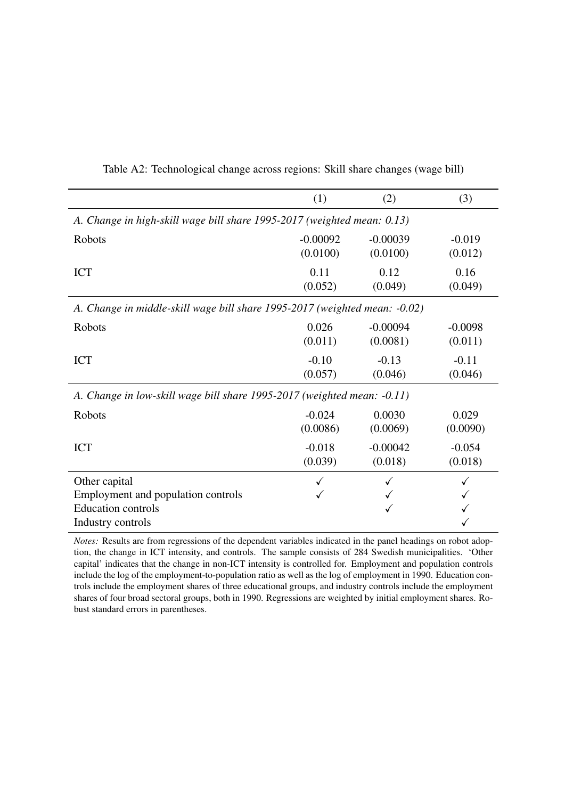|                                                                            | (1)                    | (2)                    | (3)                  |  |
|----------------------------------------------------------------------------|------------------------|------------------------|----------------------|--|
| A. Change in high-skill wage bill share 1995-2017 (weighted mean: 0.13)    |                        |                        |                      |  |
| Robots                                                                     | $-0.00092$<br>(0.0100) | $-0.00039$<br>(0.0100) | $-0.019$<br>(0.012)  |  |
| <b>ICT</b>                                                                 | 0.11<br>(0.052)        | 0.12<br>(0.049)        | 0.16<br>(0.049)      |  |
| A. Change in middle-skill wage bill share 1995-2017 (weighted mean: -0.02) |                        |                        |                      |  |
| Robots                                                                     | 0.026<br>(0.011)       | $-0.00094$<br>(0.0081) | $-0.0098$<br>(0.011) |  |
| <b>ICT</b>                                                                 | $-0.10$<br>(0.057)     | $-0.13$<br>(0.046)     | $-0.11$<br>(0.046)   |  |
| A. Change in low-skill wage bill share 1995-2017 (weighted mean: -0.11)    |                        |                        |                      |  |
| Robots                                                                     | $-0.024$<br>(0.0086)   | 0.0030<br>(0.0069)     | 0.029<br>(0.0090)    |  |
| <b>ICT</b>                                                                 | $-0.018$<br>(0.039)    | $-0.00042$<br>(0.018)  | $-0.054$<br>(0.018)  |  |
| Other capital                                                              |                        |                        |                      |  |
| Employment and population controls                                         |                        |                        |                      |  |
| <b>Education controls</b>                                                  |                        |                        |                      |  |
| Industry controls                                                          |                        |                        |                      |  |

Table A2: Technological change across regions: Skill share changes (wage bill)

*Notes:* Results are from regressions of the dependent variables indicated in the panel headings on robot adoption, the change in ICT intensity, and controls. The sample consists of 284 Swedish municipalities. 'Other capital' indicates that the change in non-ICT intensity is controlled for. Employment and population controls include the log of the employment-to-population ratio as well as the log of employment in 1990. Education controls include the employment shares of three educational groups, and industry controls include the employment shares of four broad sectoral groups, both in 1990. Regressions are weighted by initial employment shares. Robust standard errors in parentheses.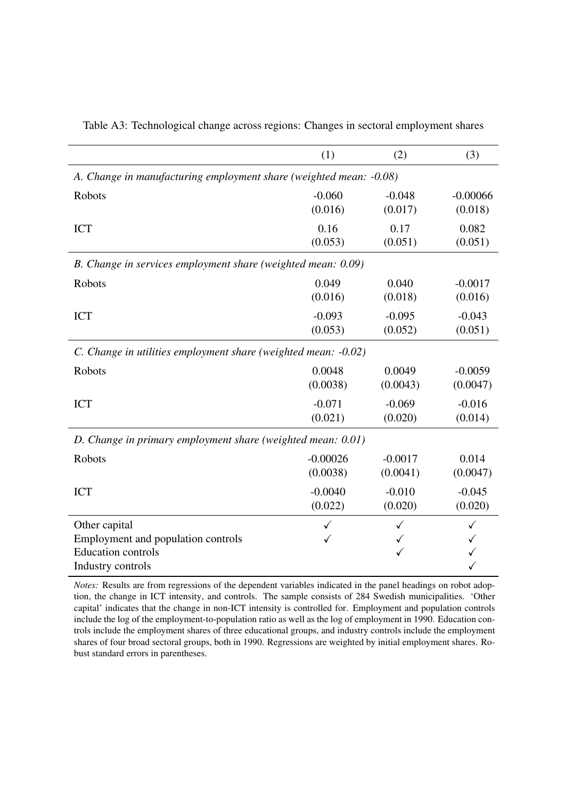|                                                                                                       | (1)               | (2)       | (3)          |  |
|-------------------------------------------------------------------------------------------------------|-------------------|-----------|--------------|--|
| A. Change in manufacturing employment share (weighted mean: -0.08)                                    |                   |           |              |  |
| Robots                                                                                                | $-0.060$          | $-0.048$  | $-0.00066$   |  |
|                                                                                                       | (0.016)           | (0.017)   | (0.018)      |  |
| <b>ICT</b>                                                                                            | 0.16              | 0.17      | 0.082        |  |
|                                                                                                       | (0.053)           | (0.051)   | (0.051)      |  |
| B. Change in services employment share (weighted mean: 0.09)                                          |                   |           |              |  |
| Robots                                                                                                | 0.049             | 0.040     | $-0.0017$    |  |
|                                                                                                       | (0.016)           | (0.018)   | (0.016)      |  |
| <b>ICT</b>                                                                                            | $-0.093$          | $-0.095$  | $-0.043$     |  |
|                                                                                                       | (0.053)           | (0.052)   | (0.051)      |  |
| C. Change in utilities employment share (weighted mean: -0.02)                                        |                   |           |              |  |
| Robots                                                                                                | 0.0048            | 0.0049    | $-0.0059$    |  |
|                                                                                                       | (0.0038)          | (0.0043)  | (0.0047)     |  |
| <b>ICT</b>                                                                                            | $-0.071$          | $-0.069$  | $-0.016$     |  |
|                                                                                                       | (0.021)           | (0.020)   | (0.014)      |  |
| D. Change in primary employment share (weighted mean: 0.01)                                           |                   |           |              |  |
| Robots                                                                                                | $-0.00026$        | $-0.0017$ | 0.014        |  |
|                                                                                                       | (0.0038)          | (0.0041)  | (0.0047)     |  |
| <b>ICT</b>                                                                                            | $-0.0040$         | $-0.010$  | $-0.045$     |  |
|                                                                                                       | (0.022)           | (0.020)   | (0.020)      |  |
| Other capital<br>Employment and population controls<br><b>Education controls</b><br>Industry controls | $\checkmark$<br>✓ | ✓<br>✓    | $\checkmark$ |  |

Table A3: Technological change across regions: Changes in sectoral employment shares

*Notes:* Results are from regressions of the dependent variables indicated in the panel headings on robot adoption, the change in ICT intensity, and controls. The sample consists of 284 Swedish municipalities. 'Other capital' indicates that the change in non-ICT intensity is controlled for. Employment and population controls include the log of the employment-to-population ratio as well as the log of employment in 1990. Education controls include the employment shares of three educational groups, and industry controls include the employment shares of four broad sectoral groups, both in 1990. Regressions are weighted by initial employment shares. Robust standard errors in parentheses.